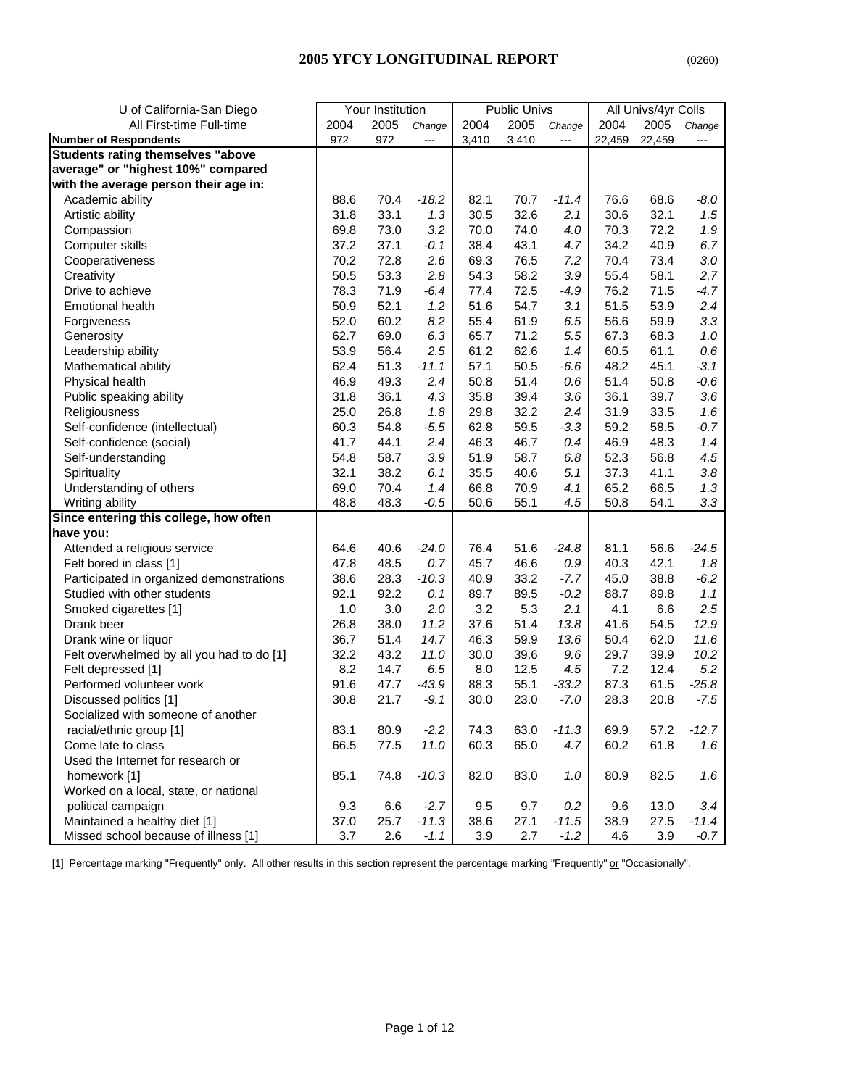| U of California-San Diego                 |      | Your Institution |                          |       | <b>Public Univs</b> |                |        | All Univs/4yr Colls |         |
|-------------------------------------------|------|------------------|--------------------------|-------|---------------------|----------------|--------|---------------------|---------|
| All First-time Full-time                  | 2004 | 2005             | Change                   | 2004  | 2005                | Change         | 2004   | 2005                | Change  |
| <b>Number of Respondents</b>              | 972  | 972              | $\overline{\phantom{a}}$ | 3,410 | 3,410               | $\overline{a}$ | 22,459 | 22,459              | ---     |
| <b>Students rating themselves "above</b>  |      |                  |                          |       |                     |                |        |                     |         |
| average" or "highest 10%" compared        |      |                  |                          |       |                     |                |        |                     |         |
| with the average person their age in:     |      |                  |                          |       |                     |                |        |                     |         |
| Academic ability                          | 88.6 | 70.4             | $-18.2$                  | 82.1  | 70.7                | $-11.4$        | 76.6   | 68.6                | $-8.0$  |
| Artistic ability                          | 31.8 | 33.1             | 1.3                      | 30.5  | 32.6                | 2.1            | 30.6   | 32.1                | 1.5     |
| Compassion                                | 69.8 | 73.0             | 3.2                      | 70.0  | 74.0                | 4.0            | 70.3   | 72.2                | 1.9     |
| Computer skills                           | 37.2 | 37.1             | $-0.1$                   | 38.4  | 43.1                | 4.7            | 34.2   | 40.9                | 6.7     |
| Cooperativeness                           | 70.2 | 72.8             | 2.6                      | 69.3  | 76.5                | 7.2            | 70.4   | 73.4                | 3.0     |
| Creativity                                | 50.5 | 53.3             | 2.8                      | 54.3  | 58.2                | 3.9            | 55.4   | 58.1                | 2.7     |
| Drive to achieve                          | 78.3 | 71.9             | $-6.4$                   | 77.4  | 72.5                | $-4.9$         | 76.2   | 71.5                | $-4.7$  |
| <b>Emotional health</b>                   | 50.9 | 52.1             | 1.2                      | 51.6  | 54.7                | 3.1            | 51.5   | 53.9                | 2.4     |
| Forgiveness                               | 52.0 | 60.2             | 8.2                      | 55.4  | 61.9                | 6.5            | 56.6   | 59.9                | 3.3     |
| Generosity                                | 62.7 | 69.0             | 6.3                      | 65.7  | 71.2                | 5.5            | 67.3   | 68.3                | 1.0     |
| Leadership ability                        | 53.9 | 56.4             | 2.5                      | 61.2  | 62.6                | 1.4            | 60.5   | 61.1                | $0.6\,$ |
| Mathematical ability                      | 62.4 | 51.3             | $-11.1$                  | 57.1  | 50.5                | $-6.6$         | 48.2   | 45.1                | $-3.1$  |
| Physical health                           | 46.9 | 49.3             | 2.4                      | 50.8  | 51.4                | 0.6            | 51.4   | 50.8                | $-0.6$  |
| Public speaking ability                   | 31.8 | 36.1             | 4.3                      | 35.8  | 39.4                | 3.6            | 36.1   | 39.7                | 3.6     |
| Religiousness                             | 25.0 | 26.8             | 1.8                      | 29.8  | 32.2                | 2.4            | 31.9   | 33.5                | 1.6     |
| Self-confidence (intellectual)            | 60.3 | 54.8             | $-5.5$                   | 62.8  | 59.5                | $-3.3$         | 59.2   | 58.5                | $-0.7$  |
| Self-confidence (social)                  | 41.7 | 44.1             | 2.4                      | 46.3  | 46.7                | 0.4            | 46.9   | 48.3                | 1.4     |
| Self-understanding                        | 54.8 | 58.7             | 3.9                      | 51.9  | 58.7                | 6.8            | 52.3   | 56.8                | 4.5     |
| Spirituality                              | 32.1 | 38.2             | 6.1                      | 35.5  | 40.6                | 5.1            | 37.3   | 41.1                | 3.8     |
| Understanding of others                   | 69.0 | 70.4             | 1.4                      | 66.8  | 70.9                | 4.1            | 65.2   | 66.5                | 1.3     |
| Writing ability                           | 48.8 | 48.3             | $-0.5$                   | 50.6  | 55.1                | 4.5            | 50.8   | 54.1                | 3.3     |
| Since entering this college, how often    |      |                  |                          |       |                     |                |        |                     |         |
| have you:                                 |      |                  |                          |       |                     |                |        |                     |         |
| Attended a religious service              | 64.6 | 40.6             | $-24.0$                  | 76.4  | 51.6                | $-24.8$        | 81.1   | 56.6                | $-24.5$ |
| Felt bored in class [1]                   | 47.8 | 48.5             | 0.7                      | 45.7  | 46.6                | 0.9            | 40.3   | 42.1                | 1.8     |
| Participated in organized demonstrations  | 38.6 | 28.3             | $-10.3$                  | 40.9  | 33.2                | $-7.7$         | 45.0   | 38.8                | $-6.2$  |
| Studied with other students               | 92.1 | 92.2             | 0.1                      | 89.7  | 89.5                | $-0.2$         | 88.7   | 89.8                | 1.1     |
| Smoked cigarettes [1]                     | 1.0  | 3.0              | 2.0                      | 3.2   | 5.3                 | 2.1            | 4.1    | 6.6                 | 2.5     |
| Drank beer                                | 26.8 | 38.0             | 11.2                     | 37.6  | 51.4                | 13.8           | 41.6   | 54.5                | 12.9    |
| Drank wine or liquor                      | 36.7 | 51.4             | 14.7                     | 46.3  | 59.9                | 13.6           | 50.4   | 62.0                | 11.6    |
| Felt overwhelmed by all you had to do [1] | 32.2 | 43.2             | 11.0                     | 30.0  | 39.6                | 9.6            | 29.7   | 39.9                | 10.2    |
| Felt depressed [1]                        | 8.2  | 14.7             | 6.5                      | 8.0   | 12.5                | 4.5            | 7.2    | 12.4                | 5.2     |
| Performed volunteer work                  | 91.6 | 47.7             | $-43.9$                  | 88.3  | 55.1                | $-33.2$        | 87.3   | 61.5                | $-25.8$ |
| Discussed politics [1]                    | 30.8 | 21.7             | $-9.1$                   | 30.0  | 23.0                | $-7.0$         | 28.3   | 20.8                | $-7.5$  |
| Socialized with someone of another        |      |                  |                          |       |                     |                |        |                     |         |
| racial/ethnic group [1]                   | 83.1 | 80.9             | $-2.2$                   | 74.3  | 63.0                | $-11.3$        | 69.9   | 57.2                | $-12.7$ |
| Come late to class                        | 66.5 | 77.5             | 11.0                     | 60.3  | 65.0                | 4.7            | 60.2   | 61.8                | 1.6     |
| Used the Internet for research or         |      |                  |                          |       |                     |                |        |                     |         |
| homework [1]                              | 85.1 | 74.8             | $-10.3$                  | 82.0  | 83.0                | 1.0            | 80.9   | 82.5                | 1.6     |
| Worked on a local, state, or national     |      |                  |                          |       |                     |                |        |                     |         |
| political campaign                        | 9.3  | 6.6              | $-2.7$                   | 9.5   | 9.7                 | 0.2            | 9.6    | 13.0                | 3.4     |
| Maintained a healthy diet [1]             | 37.0 | 25.7             | $-11.3$                  | 38.6  | 27.1                | $-11.5$        | 38.9   | 27.5                | $-11.4$ |
| Missed school because of illness [1]      | 3.7  | 2.6              | $-1.1$                   | 3.9   | 2.7                 | $-1.2$         | 4.6    | 3.9                 | $-0.7$  |

[1] Percentage marking "Frequently" only. All other results in this section represent the percentage marking "Frequently" or "Occasionally".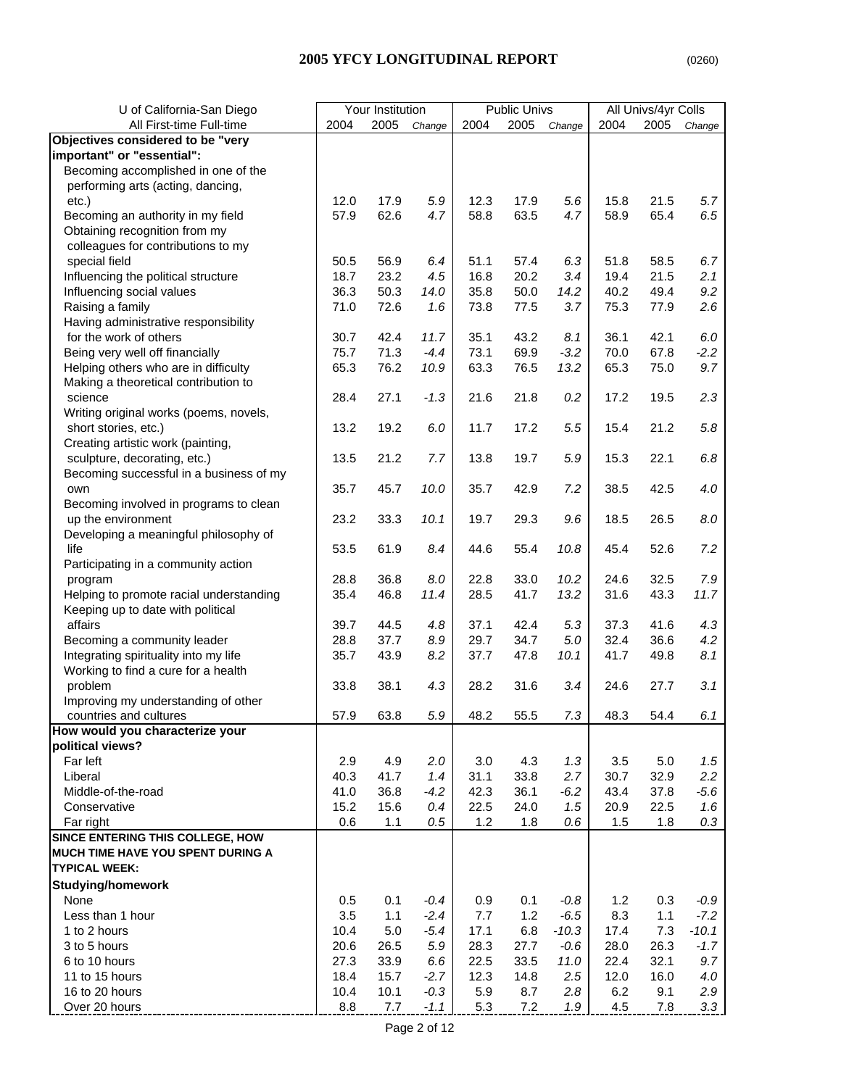## **2005 YFCY LONGITUDINAL REPORT** (0260)

| U of California-San Diego                |      | Your Institution |         |      | Public Univs |         |      | All Univs/4yr Colls |         |
|------------------------------------------|------|------------------|---------|------|--------------|---------|------|---------------------|---------|
| All First-time Full-time                 | 2004 | 2005             | Change  | 2004 | 2005         | Change  | 2004 | 2005                | Change  |
| Objectives considered to be "very        |      |                  |         |      |              |         |      |                     |         |
| important" or "essential":               |      |                  |         |      |              |         |      |                     |         |
| Becoming accomplished in one of the      |      |                  |         |      |              |         |      |                     |         |
| performing arts (acting, dancing,        |      |                  |         |      |              |         |      |                     |         |
| $etc.$ )                                 | 12.0 | 17.9             | 5.9     | 12.3 | 17.9         | 5.6     | 15.8 | 21.5                | 5.7     |
| Becoming an authority in my field        | 57.9 | 62.6             | 4.7     | 58.8 | 63.5         | 4.7     | 58.9 | 65.4                | 6.5     |
| Obtaining recognition from my            |      |                  |         |      |              |         |      |                     |         |
| colleagues for contributions to my       |      |                  |         |      |              |         |      |                     |         |
| special field                            | 50.5 | 56.9             | 6.4     | 51.1 | 57.4         | 6.3     | 51.8 | 58.5                | 6.7     |
| Influencing the political structure      | 18.7 | 23.2             | 4.5     | 16.8 | 20.2         | 3.4     | 19.4 | 21.5                | 2.1     |
| Influencing social values                | 36.3 | 50.3             | 14.0    | 35.8 | 50.0         | 14.2    | 40.2 | 49.4                | 9.2     |
| Raising a family                         | 71.0 | 72.6             | 1.6     | 73.8 | 77.5         | 3.7     | 75.3 | 77.9                | 2.6     |
| Having administrative responsibility     |      |                  |         |      |              |         |      |                     |         |
| for the work of others                   | 30.7 | 42.4             | 11.7    | 35.1 | 43.2         | 8.1     | 36.1 | 42.1                | 6.0     |
| Being very well off financially          | 75.7 | 71.3             | $-4.4$  | 73.1 | 69.9         | $-3.2$  | 70.0 | 67.8                | $-2.2$  |
| Helping others who are in difficulty     | 65.3 | 76.2             | 10.9    | 63.3 | 76.5         | 13.2    | 65.3 | 75.0                | 9.7     |
| Making a theoretical contribution to     |      |                  |         |      |              |         |      |                     |         |
| science                                  | 28.4 | 27.1             | $-1.3$  | 21.6 | 21.8         | 0.2     | 17.2 | 19.5                | 2.3     |
| Writing original works (poems, novels,   |      |                  |         |      |              |         |      |                     |         |
| short stories, etc.)                     | 13.2 | 19.2             | 6.0     | 11.7 | 17.2         | 5.5     | 15.4 | 21.2                | 5.8     |
| Creating artistic work (painting,        |      |                  |         |      |              |         |      |                     |         |
| sculpture, decorating, etc.)             | 13.5 | 21.2             | 7.7     | 13.8 | 19.7         | 5.9     | 15.3 | 22.1                | $6.8\,$ |
| Becoming successful in a business of my  |      |                  |         |      |              |         |      |                     |         |
| own                                      | 35.7 | 45.7             | 10.0    | 35.7 | 42.9         | 7.2     | 38.5 | 42.5                | 4.0     |
| Becoming involved in programs to clean   |      |                  |         |      |              |         |      |                     |         |
| up the environment                       | 23.2 | 33.3             | 10.1    | 19.7 | 29.3         | 9.6     | 18.5 | 26.5                | $8.0\,$ |
| Developing a meaningful philosophy of    |      |                  |         |      |              |         |      |                     |         |
| life                                     | 53.5 | 61.9             | 8.4     | 44.6 | 55.4         | 10.8    | 45.4 | 52.6                | 7.2     |
| Participating in a community action      |      |                  |         |      |              |         |      |                     |         |
| program                                  | 28.8 | 36.8             | 8.0     | 22.8 | 33.0         | 10.2    | 24.6 | 32.5                | 7.9     |
| Helping to promote racial understanding  | 35.4 | 46.8             | 11.4    | 28.5 | 41.7         | 13.2    | 31.6 | 43.3                | 11.7    |
| Keeping up to date with political        |      |                  |         |      |              |         |      |                     |         |
| affairs                                  | 39.7 | 44.5             | 4.8     | 37.1 | 42.4         | 5.3     | 37.3 | 41.6                | 4.3     |
| Becoming a community leader              | 28.8 | 37.7             | $8.9\,$ | 29.7 | 34.7         | 5.0     | 32.4 | 36.6                | 4.2     |
| Integrating spirituality into my life    | 35.7 | 43.9             | 8.2     | 37.7 | 47.8         | 10.1    | 41.7 | 49.8                | 8.1     |
| Working to find a cure for a health      |      |                  |         |      |              |         |      |                     |         |
| problem                                  | 33.8 | 38.1             | 4.3     | 28.2 | 31.6         | 3.4     | 24.6 | 27.7                | 3.1     |
| Improving my understanding of other      |      |                  |         |      |              |         |      |                     |         |
| countries and cultures                   | 57.9 | 63.8             | 5.9     | 48.2 | 55.5         | 7.3     | 48.3 | 54.4                | 6.1     |
| How would you characterize your          |      |                  |         |      |              |         |      |                     |         |
| political views?                         |      |                  |         |      |              |         |      |                     |         |
| Far left                                 | 2.9  | 4.9              | 2.0     | 3.0  | 4.3          | 1.3     | 3.5  | $5.0\,$             | 1.5     |
| Liberal                                  | 40.3 | 41.7             | 1.4     | 31.1 | 33.8         | 2.7     | 30.7 | 32.9                | 2.2     |
| Middle-of-the-road                       | 41.0 | 36.8             | $-4.2$  | 42.3 | 36.1         | $-6.2$  | 43.4 | 37.8                | $-5.6$  |
| Conservative                             | 15.2 | 15.6             | 0.4     | 22.5 | 24.0         | 1.5     | 20.9 | 22.5                | 1.6     |
| Far right                                | 0.6  | 1.1              | 0.5     | 1.2  | 1.8          | 0.6     | 1.5  | 1.8                 | 0.3     |
| SINCE ENTERING THIS COLLEGE, HOW         |      |                  |         |      |              |         |      |                     |         |
| <b>MUCH TIME HAVE YOU SPENT DURING A</b> |      |                  |         |      |              |         |      |                     |         |
| <b>TYPICAL WEEK:</b>                     |      |                  |         |      |              |         |      |                     |         |
| <b>Studying/homework</b>                 |      |                  |         |      |              |         |      |                     |         |
| None                                     | 0.5  | 0.1              | $-0.4$  | 0.9  | 0.1          | $-0.8$  | 1.2  | 0.3                 | $-0.9$  |
| Less than 1 hour                         | 3.5  | 1.1              | $-2.4$  | 7.7  | 1.2          | $-6.5$  | 8.3  | 1.1                 | $-7.2$  |
| 1 to 2 hours                             | 10.4 | $5.0\,$          | $-5.4$  | 17.1 | 6.8          | $-10.3$ | 17.4 | 7.3                 | $-10.1$ |
| 3 to 5 hours                             | 20.6 | 26.5             | 5.9     | 28.3 | 27.7         | $-0.6$  | 28.0 | 26.3                | $-1.7$  |
| 6 to 10 hours                            | 27.3 | 33.9             | 6.6     | 22.5 | 33.5         | 11.0    | 22.4 | 32.1                | 9.7     |
| 11 to 15 hours                           | 18.4 | 15.7             | $-2.7$  | 12.3 | 14.8         | 2.5     | 12.0 | 16.0                | 4.0     |
| 16 to 20 hours                           | 10.4 | 10.1             | $-0.3$  | 5.9  | 8.7          | 2.8     | 6.2  | 9.1                 | 2.9     |
| Over 20 hours                            | 8.8  | 7.7              | $-1.1$  | 5.3  | 7.2          | 1.9     | 4.5  | 7.8                 | 3.3     |
|                                          |      |                  |         |      |              |         |      |                     |         |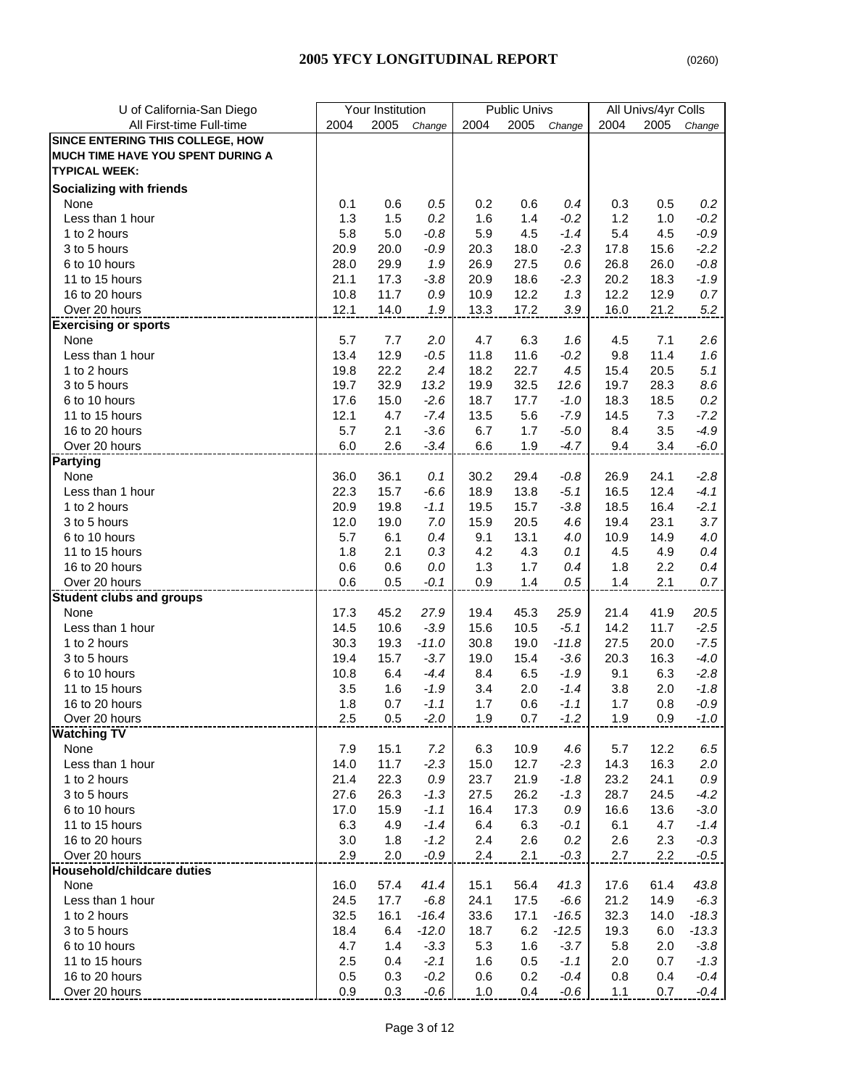| U of California-San Diego         |      | Your Institution |         |      | <b>Public Univs</b> |         |         | All Univs/4yr Colls |         |
|-----------------------------------|------|------------------|---------|------|---------------------|---------|---------|---------------------|---------|
| All First-time Full-time          | 2004 | 2005             | Change  | 2004 | 2005                | Change  | 2004    | 2005                | Change  |
| SINCE ENTERING THIS COLLEGE, HOW  |      |                  |         |      |                     |         |         |                     |         |
| MUCH TIME HAVE YOU SPENT DURING A |      |                  |         |      |                     |         |         |                     |         |
| <b>TYPICAL WEEK:</b>              |      |                  |         |      |                     |         |         |                     |         |
| <b>Socializing with friends</b>   |      |                  |         |      |                     |         |         |                     |         |
| None                              | 0.1  | 0.6              | 0.5     | 0.2  | 0.6                 | 0.4     | 0.3     | 0.5                 | 0.2     |
| Less than 1 hour                  | 1.3  | 1.5              | 0.2     | 1.6  | 1.4                 | $-0.2$  | 1.2     | 1.0                 | $-0.2$  |
| 1 to 2 hours                      | 5.8  | 5.0              | $-0.8$  | 5.9  | 4.5                 | $-1.4$  | 5.4     | 4.5                 | $-0.9$  |
| 3 to 5 hours                      | 20.9 | 20.0             | $-0.9$  | 20.3 | 18.0                | $-2.3$  | 17.8    | 15.6                | $-2.2$  |
| 6 to 10 hours                     | 28.0 | 29.9             | 1.9     | 26.9 | 27.5                | 0.6     | 26.8    | 26.0                | $-0.8$  |
| 11 to 15 hours                    | 21.1 | 17.3             | $-3.8$  | 20.9 | 18.6                | $-2.3$  | 20.2    | 18.3                | $-1.9$  |
| 16 to 20 hours                    | 10.8 | 11.7             | 0.9     | 10.9 | 12.2                | 1.3     | 12.2    | 12.9                | 0.7     |
| Over 20 hours                     | 12.1 | 14.0             | 1.9     | 13.3 | 17.2                | 3.9     | 16.0    | 21.2                | 5.2     |
| <b>Exercising or sports</b>       |      |                  |         |      |                     |         |         |                     |         |
| None                              | 5.7  | 7.7              | 2.0     | 4.7  | 6.3                 | 1.6     | 4.5     | 7.1                 | 2.6     |
| Less than 1 hour                  | 13.4 | 12.9             | $-0.5$  | 11.8 | 11.6                | $-0.2$  | 9.8     | 11.4                | 1.6     |
| 1 to 2 hours                      | 19.8 | 22.2             | 2.4     | 18.2 | 22.7                | 4.5     | 15.4    | 20.5                | 5.1     |
| 3 to 5 hours                      | 19.7 | 32.9             | 13.2    | 19.9 | 32.5                | 12.6    | 19.7    | 28.3                | 8.6     |
| 6 to 10 hours                     | 17.6 | 15.0             | $-2.6$  | 18.7 | 17.7                | $-1.0$  | 18.3    | 18.5                | 0.2     |
| 11 to 15 hours                    | 12.1 | 4.7              | $-7.4$  | 13.5 | 5.6                 | $-7.9$  | 14.5    | 7.3                 | $-7.2$  |
| 16 to 20 hours                    | 5.7  | 2.1              | $-3.6$  | 6.7  | 1.7                 | $-5.0$  | 8.4     | 3.5                 | $-4.9$  |
| Over 20 hours                     | 6.0  | 2.6              | $-3.4$  | 6.6  | 1.9                 | $-4.7$  | 9.4     | 3.4                 | $-6.0$  |
| <b>Partying</b>                   |      |                  |         |      |                     |         |         |                     |         |
| None                              | 36.0 | 36.1             | 0.1     | 30.2 | 29.4                | $-0.8$  | 26.9    | 24.1                | $-2.8$  |
| Less than 1 hour                  | 22.3 | 15.7             | $-6.6$  | 18.9 | 13.8                | $-5.1$  | 16.5    | 12.4                | $-4.1$  |
| 1 to 2 hours                      | 20.9 | 19.8             | $-1.1$  | 19.5 | 15.7                | $-3.8$  | 18.5    | 16.4                | $-2.1$  |
| 3 to 5 hours                      | 12.0 | 19.0             | 7.0     | 15.9 | 20.5                | 4.6     | 19.4    | 23.1                | 3.7     |
| 6 to 10 hours                     | 5.7  | 6.1              | 0.4     | 9.1  | 13.1                | 4.0     | 10.9    | 14.9                | 4.0     |
| 11 to 15 hours                    | 1.8  | 2.1              | 0.3     | 4.2  | 4.3                 | 0.1     | 4.5     | 4.9                 | 0.4     |
| 16 to 20 hours                    | 0.6  | 0.6              | 0.0     | 1.3  | 1.7                 | 0.4     | 1.8     | 2.2                 | 0.4     |
| Over 20 hours                     | 0.6  | 0.5              | $-0.1$  | 0.9  | 1.4                 | 0.5     | 1.4     | 2.1                 | 0.7     |
| <b>Student clubs and groups</b>   |      |                  |         |      |                     |         |         |                     |         |
| None                              | 17.3 | 45.2             | 27.9    | 19.4 | 45.3                | 25.9    | 21.4    | 41.9                | 20.5    |
| Less than 1 hour                  | 14.5 | 10.6             | $-3.9$  | 15.6 | 10.5                | $-5.1$  | 14.2    | 11.7                | $-2.5$  |
| 1 to 2 hours                      | 30.3 | 19.3             | $-11.0$ | 30.8 | 19.0                | $-11.8$ | 27.5    | 20.0                | $-7.5$  |
| 3 to 5 hours                      | 19.4 | 15.7             | $-3.7$  | 19.0 | 15.4                | $-3.6$  | 20.3    | 16.3                | $-4.0$  |
| 6 to 10 hours                     | 10.8 | 6.4              | $-4.4$  | 8.4  | 6.5                 | $-1.9$  | 9.1     | 6.3                 | $-2.8$  |
| 11 to 15 hours                    | 3.5  | 1.6              | $-1.9$  | 3.4  | 2.0                 | $-1.4$  | 3.8     | 2.0                 | $-1.8$  |
| 16 to 20 hours                    | 1.8  | 0.7              | $-1.1$  | 1.7  | 0.6                 | $-1.1$  | 1.7     | 0.8                 | $-0.9$  |
| Over 20 hours                     | 2.5  | 0.5              | $-2.0$  | 1.9  | 0.7                 | $-1.2$  | 1.9     | 0.9                 | $-1.0$  |
| <b>Watching TV</b>                |      |                  |         |      |                     |         |         |                     |         |
| None                              | 7.9  | 15.1             | 7.2     | 6.3  | 10.9                | 4.6     | 5.7     | 12.2                | 6.5     |
| Less than 1 hour                  | 14.0 | 11.7             | $-2.3$  | 15.0 | 12.7                | $-2.3$  | 14.3    | 16.3                | 2.0     |
| 1 to 2 hours                      | 21.4 | 22.3             | $0.9\,$ | 23.7 | 21.9                | $-1.8$  | 23.2    | 24.1                | $0.9\,$ |
| 3 to 5 hours                      | 27.6 | 26.3             | $-1.3$  | 27.5 | 26.2                | $-1.3$  | 28.7    | 24.5                | $-4.2$  |
| 6 to 10 hours                     | 17.0 | 15.9             | $-1.1$  | 16.4 | 17.3                | 0.9     | 16.6    | 13.6                | $-3.0$  |
| 11 to 15 hours                    | 6.3  | 4.9              | $-1.4$  | 6.4  | 6.3                 | -0.1    | 6.1     | 4.7                 | $-1.4$  |
| 16 to 20 hours                    | 3.0  | 1.8              | $-1.2$  | 2.4  | 2.6                 | 0.2     | 2.6     | 2.3                 | $-0.3$  |
| Over 20 hours                     | 2.9  | 2.0              | $-0.9$  | 2.4  | 2.1                 | $-0.3$  | $2.7\,$ | 2.2                 | $-0.5$  |
| Household/childcare duties        |      |                  |         |      |                     |         |         |                     |         |
| None                              | 16.0 | 57.4             | 41.4    | 15.1 | 56.4                | 41.3    | 17.6    | 61.4                | 43.8    |
| Less than 1 hour                  | 24.5 | 17.7             | $-6.8$  | 24.1 | 17.5                | $-6.6$  | 21.2    | 14.9                | $-6.3$  |
| 1 to 2 hours                      | 32.5 | 16.1             | $-16.4$ | 33.6 | 17.1                | $-16.5$ | 32.3    | 14.0                | $-18.3$ |
| 3 to 5 hours                      | 18.4 | 6.4              | $-12.0$ | 18.7 | 6.2                 | $-12.5$ | 19.3    | 6.0                 | $-13.3$ |
| 6 to 10 hours                     | 4.7  | 1.4              | $-3.3$  | 5.3  | 1.6                 | $-3.7$  | 5.8     | 2.0                 | $-3.8$  |
| 11 to 15 hours                    | 2.5  | 0.4              | $-2.1$  | 1.6  | 0.5                 | $-1.1$  | 2.0     | 0.7                 | $-1.3$  |
| 16 to 20 hours                    | 0.5  | 0.3              | $-0.2$  | 0.6  | 0.2                 | $-0.4$  | 0.8     | 0.4                 | $-0.4$  |
| Over 20 hours                     | 0.9  | 0.3              | -0.6    | 1.0  | 0.4                 | $-0.6$  | 1.1     | 0.7                 | $-0.4$  |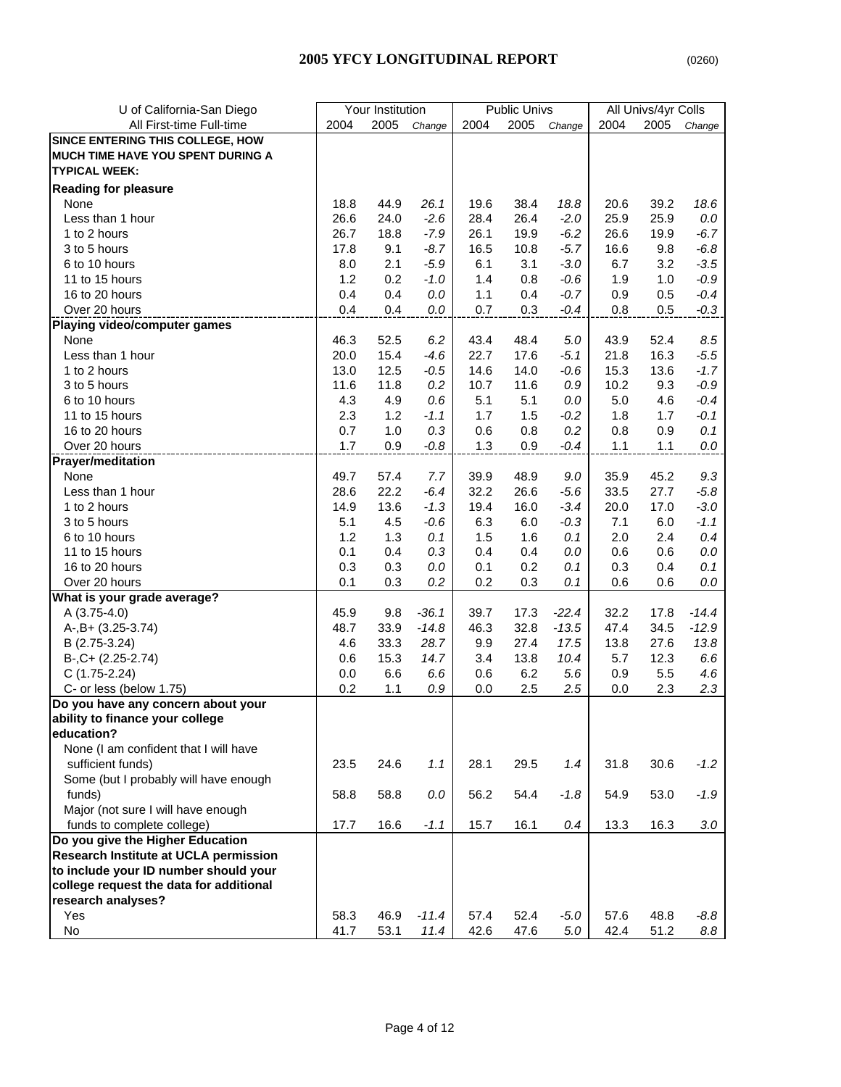|--|

| U of California-San Diego                                        |            | Your Institution |            |            | <b>Public Univs</b> |             |            | All Univs/4yr Colls |            |
|------------------------------------------------------------------|------------|------------------|------------|------------|---------------------|-------------|------------|---------------------|------------|
| All First-time Full-time                                         | 2004       | 2005             | Change     | 2004       | 2005                | Change      | 2004       | 2005                | Change     |
| SINCE ENTERING THIS COLLEGE, HOW                                 |            |                  |            |            |                     |             |            |                     |            |
| MUCH TIME HAVE YOU SPENT DURING A                                |            |                  |            |            |                     |             |            |                     |            |
| <b>TYPICAL WEEK:</b>                                             |            |                  |            |            |                     |             |            |                     |            |
| <b>Reading for pleasure</b>                                      |            |                  |            |            |                     |             |            |                     |            |
| None                                                             | 18.8       | 44.9             | 26.1       | 19.6       | 38.4                | 18.8        | 20.6       | 39.2                | 18.6       |
| Less than 1 hour                                                 | 26.6       | 24.0             | $-2.6$     | 28.4       | 26.4                | $-2.0$      | 25.9       | 25.9                | $0.0\,$    |
| 1 to 2 hours                                                     | 26.7       | 18.8             | $-7.9$     | 26.1       | 19.9                | $-6.2$      | 26.6       | 19.9                | $-6.7$     |
| 3 to 5 hours                                                     | 17.8       | 9.1              | $-8.7$     | 16.5       | 10.8                | $-5.7$      | 16.6       | 9.8                 | $-6.8$     |
| 6 to 10 hours                                                    | 8.0        | 2.1              | $-5.9$     | 6.1        | 3.1                 | $-3.0$      | 6.7        | 3.2                 | $-3.5$     |
| 11 to 15 hours                                                   | 1.2        | 0.2              | $-1.0$     | 1.4        | 0.8                 | $-0.6$      | 1.9        | 1.0                 | $-0.9$     |
| 16 to 20 hours                                                   | 0.4        | 0.4              | 0.0        | 1.1        | 0.4                 | $-0.7$      | 0.9        | 0.5                 | $-0.4$     |
| Over 20 hours                                                    | 0.4        | 0.4              | 0.0        | 0.7        | 0.3                 | $-0.4$      | 0.8        | 0.5                 | $-0.3$     |
| Playing video/computer games                                     |            |                  |            |            |                     |             |            |                     |            |
| None                                                             | 46.3       | 52.5             | 6.2        | 43.4       | 48.4                | 5.0         | 43.9       | 52.4                | 8.5        |
| Less than 1 hour                                                 | 20.0       | 15.4             | $-4.6$     | 22.7       | 17.6                | $-5.1$      | 21.8       | 16.3                | $-5.5$     |
| 1 to 2 hours                                                     | 13.0       | 12.5             | $-0.5$     | 14.6       | 14.0                | $-0.6$      | 15.3       | 13.6                | $-1.7$     |
| 3 to 5 hours                                                     | 11.6       | 11.8             | 0.2        | 10.7       | 11.6                | 0.9         | 10.2       | 9.3                 | $-0.9$     |
| 6 to 10 hours                                                    | 4.3        | 4.9              | 0.6        | 5.1        | 5.1                 | 0.0         | 5.0        | 4.6                 | $-0.4$     |
| 11 to 15 hours                                                   | 2.3        | 1.2              | $-1.1$     | 1.7        | 1.5                 | $-0.2$      | 1.8        | 1.7                 | $-0.1$     |
| 16 to 20 hours                                                   | 0.7        | 1.0              | 0.3        | 0.6        | 0.8                 | 0.2         | 0.8        | 0.9                 | 0.1        |
| Over 20 hours                                                    | 1.7        | 0.9              | $-0.8$     | 1.3        | 0.9                 | $-0.4$      | 1.1        | 1.1                 | 0.0        |
| <b>Prayer/meditation</b>                                         |            |                  |            |            |                     |             |            |                     |            |
| None                                                             | 49.7       | 57.4             | 7.7        | 39.9       | 48.9                | 9.0         | 35.9       | 45.2                | 9.3        |
| Less than 1 hour                                                 | 28.6       | 22.2             | $-6.4$     | 32.2       | 26.6                | $-5.6$      | 33.5       | 27.7                | $-5.8$     |
| 1 to 2 hours                                                     | 14.9       | 13.6             | $-1.3$     | 19.4       | 16.0                | $-3.4$      | 20.0       | 17.0                | $-3.0$     |
| 3 to 5 hours                                                     | 5.1        | 4.5              | $-0.6$     | 6.3        | 6.0                 | $-0.3$      | 7.1        | 6.0                 | $-1.1$     |
| 6 to 10 hours                                                    | 1.2        | 1.3              | 0.1        | 1.5        | 1.6                 | 0.1         | 2.0        | 2.4                 | 0.4        |
| 11 to 15 hours                                                   | 0.1        | 0.4              | 0.3        | 0.4        | 0.4                 | 0.0         | 0.6        | 0.6                 | $0.0\,$    |
| 16 to 20 hours                                                   | 0.3        | 0.3              | 0.0        |            | 0.2                 | 0.1         | 0.3        | 0.4                 | 0.1        |
| Over 20 hours                                                    | 0.1        | 0.3              | 0.2        | 0.1<br>0.2 | 0.3                 | 0.1         | 0.6        | 0.6                 | 0.0        |
| What is your grade average?                                      |            |                  |            |            |                     |             |            |                     |            |
| A (3.75-4.0)                                                     | 45.9       | 9.8              | $-36.1$    | 39.7       | 17.3                | $-22.4$     | 32.2       | 17.8                | $-14.4$    |
| A-, B+ (3.25-3.74)                                               | 48.7       | 33.9             | $-14.8$    | 46.3       | 32.8                | $-13.5$     | 47.4       | 34.5                | $-12.9$    |
|                                                                  | 4.6        | 33.3             | 28.7       | 9.9        | 27.4                | 17.5        | 13.8       | 27.6                | 13.8       |
| B (2.75-3.24)                                                    | 0.6        | 15.3             |            |            |                     |             |            | 12.3                |            |
| $B-, C+ (2.25-2.74)$                                             |            |                  | 14.7       | 3.4        | 13.8                | 10.4<br>5.6 | 5.7        |                     | 6.6        |
| $C(1.75-2.24)$<br>C- or less (below 1.75)                        | 0.0<br>0.2 | 6.6              | 6.6<br>0.9 | 0.6        | 6.2<br>2.5          | 2.5         | 0.9<br>0.0 | 5.5<br>2.3          | 4.6<br>2.3 |
|                                                                  |            | 1.1              |            | 0.0        |                     |             |            |                     |            |
| Do you have any concern about your                               |            |                  |            |            |                     |             |            |                     |            |
| ability to finance your college<br>education?                    |            |                  |            |            |                     |             |            |                     |            |
| None (I am confident that I will have                            |            |                  |            |            |                     |             |            |                     |            |
| sufficient funds)                                                |            | 24.6             | 1.1        | 28.1       | 29.5                | 1.4         | 31.8       | 30.6                | $-1.2$     |
| Some (but I probably will have enough                            | 23.5       |                  |            |            |                     |             |            |                     |            |
| funds)                                                           |            |                  |            |            |                     |             |            |                     |            |
|                                                                  | 58.8       | 58.8             | 0.0        | 56.2       | 54.4                | $-1.8$      | 54.9       | 53.0                | $-1.9$     |
| Major (not sure I will have enough<br>funds to complete college) | 17.7       | 16.6             |            | 15.7       | 16.1                |             | 13.3       | 16.3                |            |
|                                                                  |            |                  | $-1.1$     |            |                     | 0.4         |            |                     | $3.0\,$    |
| Do you give the Higher Education                                 |            |                  |            |            |                     |             |            |                     |            |
| Research Institute at UCLA permission                            |            |                  |            |            |                     |             |            |                     |            |
| to include your ID number should your                            |            |                  |            |            |                     |             |            |                     |            |
| college request the data for additional                          |            |                  |            |            |                     |             |            |                     |            |
| research analyses?<br>Yes                                        |            |                  |            |            |                     |             |            |                     |            |
|                                                                  | 58.3       | 46.9             | $-11.4$    | 57.4       | 52.4                | $-5.0$      | 57.6       | 48.8                | -8.8       |
| No                                                               | 41.7       | 53.1             | 11.4       | 42.6       | 47.6                | $5.0\,$     | 42.4       | 51.2                | 8.8        |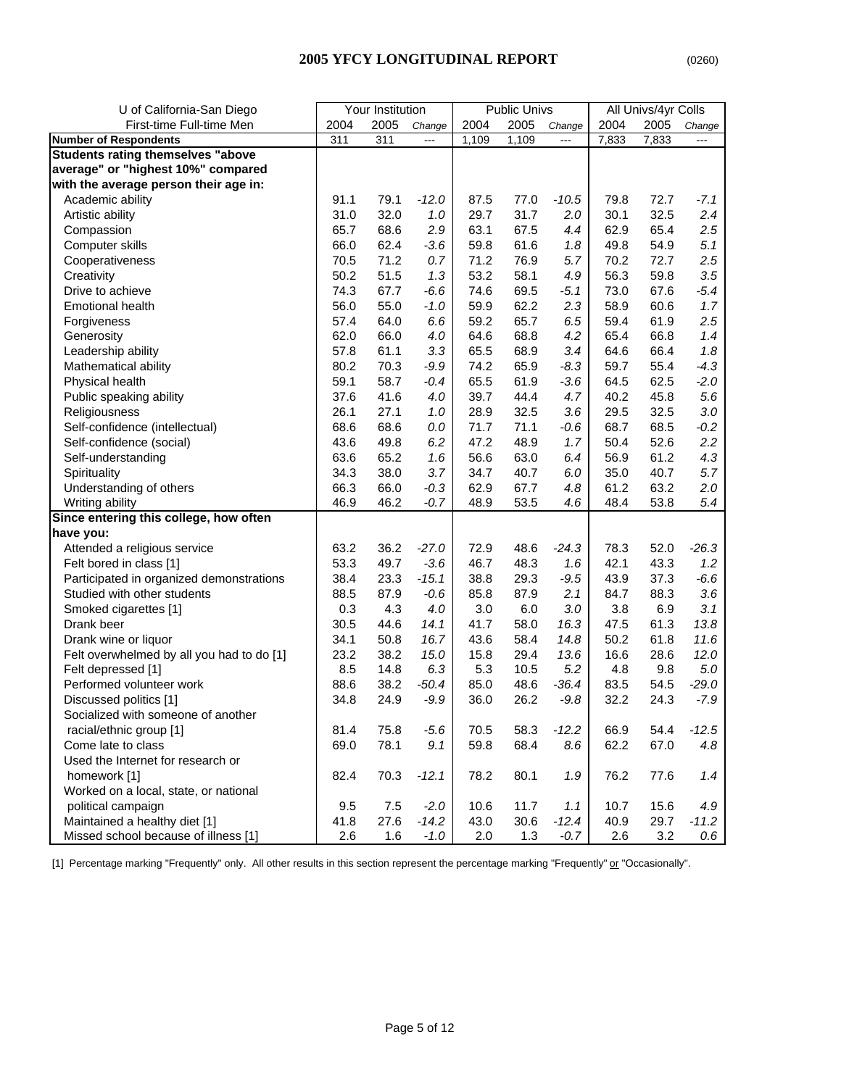| U of California-San Diego                 |      | Your Institution |                          |       | <b>Public Univs</b> |                |       | All Univs/4yr Colls |         |
|-------------------------------------------|------|------------------|--------------------------|-------|---------------------|----------------|-------|---------------------|---------|
| First-time Full-time Men                  | 2004 | 2005             | Change                   | 2004  | 2005                | Change         | 2004  | 2005                | Change  |
| <b>Number of Respondents</b>              | 311  | 311              | $\overline{\phantom{a}}$ | 1,109 | 1,109               | $\overline{a}$ | 7,833 | 7,833               | ---     |
| <b>Students rating themselves "above</b>  |      |                  |                          |       |                     |                |       |                     |         |
| average" or "highest 10%" compared        |      |                  |                          |       |                     |                |       |                     |         |
| with the average person their age in:     |      |                  |                          |       |                     |                |       |                     |         |
| Academic ability                          | 91.1 | 79.1             | $-12.0$                  | 87.5  | 77.0                | $-10.5$        | 79.8  | 72.7                | $-7.1$  |
| Artistic ability                          | 31.0 | 32.0             | 1.0                      | 29.7  | 31.7                | 2.0            | 30.1  | 32.5                | 2.4     |
| Compassion                                | 65.7 | 68.6             | 2.9                      | 63.1  | 67.5                | 4.4            | 62.9  | 65.4                | 2.5     |
| Computer skills                           | 66.0 | 62.4             | $-3.6$                   | 59.8  | 61.6                | 1.8            | 49.8  | 54.9                | 5.1     |
| Cooperativeness                           | 70.5 | 71.2             | 0.7                      | 71.2  | 76.9                | 5.7            | 70.2  | 72.7                | 2.5     |
| Creativity                                | 50.2 | 51.5             | 1.3                      | 53.2  | 58.1                | 4.9            | 56.3  | 59.8                | 3.5     |
| Drive to achieve                          | 74.3 | 67.7             | $-6.6$                   | 74.6  | 69.5                | $-5.1$         | 73.0  | 67.6                | $-5.4$  |
| <b>Emotional health</b>                   | 56.0 | 55.0             | $-1.0$                   | 59.9  | 62.2                | 2.3            | 58.9  | 60.6                | 1.7     |
| Forgiveness                               | 57.4 | 64.0             | 6.6                      | 59.2  | 65.7                | 6.5            | 59.4  | 61.9                | 2.5     |
| Generosity                                | 62.0 | 66.0             | 4.0                      | 64.6  | 68.8                | 4.2            | 65.4  | 66.8                | 1.4     |
| Leadership ability                        | 57.8 | 61.1             | 3.3                      | 65.5  | 68.9                | 3.4            | 64.6  | 66.4                | 1.8     |
| Mathematical ability                      | 80.2 | 70.3             | $-9.9$                   | 74.2  | 65.9                | $-8.3$         | 59.7  | 55.4                | $-4.3$  |
| Physical health                           | 59.1 | 58.7             | $-0.4$                   | 65.5  | 61.9                | $-3.6$         | 64.5  | 62.5                | $-2.0$  |
| Public speaking ability                   | 37.6 | 41.6             | 4.0                      | 39.7  | 44.4                | 4.7            | 40.2  | 45.8                | 5.6     |
| Religiousness                             | 26.1 | 27.1             | 1.0                      | 28.9  | 32.5                | 3.6            | 29.5  | 32.5                | 3.0     |
| Self-confidence (intellectual)            | 68.6 | 68.6             | 0.0                      | 71.7  | 71.1                | $-0.6$         | 68.7  | 68.5                | $-0.2$  |
| Self-confidence (social)                  | 43.6 | 49.8             | 6.2                      | 47.2  | 48.9                | 1.7            | 50.4  | 52.6                | 2.2     |
| Self-understanding                        | 63.6 | 65.2             | 1.6                      | 56.6  | 63.0                | 6.4            | 56.9  | 61.2                | 4.3     |
| Spirituality                              | 34.3 | 38.0             | 3.7                      | 34.7  | 40.7                | 6.0            | 35.0  | 40.7                | 5.7     |
| Understanding of others                   | 66.3 | 66.0             | $-0.3$                   | 62.9  | 67.7                | 4.8            | 61.2  | 63.2                | 2.0     |
| Writing ability                           | 46.9 | 46.2             | $-0.7$                   | 48.9  | 53.5                | 4.6            | 48.4  | 53.8                | 5.4     |
| Since entering this college, how often    |      |                  |                          |       |                     |                |       |                     |         |
| have you:                                 |      |                  |                          |       |                     |                |       |                     |         |
| Attended a religious service              | 63.2 | 36.2             | $-27.0$                  | 72.9  | 48.6                | $-24.3$        | 78.3  | 52.0                | $-26.3$ |
| Felt bored in class [1]                   | 53.3 | 49.7             | $-3.6$                   | 46.7  | 48.3                | 1.6            | 42.1  | 43.3                | 1.2     |
| Participated in organized demonstrations  | 38.4 | 23.3             | $-15.1$                  | 38.8  | 29.3                | $-9.5$         | 43.9  | 37.3                | $-6.6$  |
| Studied with other students               | 88.5 | 87.9             | $-0.6$                   | 85.8  | 87.9                | 2.1            | 84.7  | 88.3                | 3.6     |
| Smoked cigarettes [1]                     | 0.3  | 4.3              | 4.0                      | 3.0   | 6.0                 | 3.0            | 3.8   | 6.9                 | 3.1     |
| Drank beer                                | 30.5 | 44.6             | 14.1                     | 41.7  | 58.0                | 16.3           | 47.5  | 61.3                | 13.8    |
| Drank wine or liquor                      | 34.1 | 50.8             | 16.7                     | 43.6  | 58.4                | 14.8           | 50.2  | 61.8                | 11.6    |
| Felt overwhelmed by all you had to do [1] | 23.2 | 38.2             | 15.0                     | 15.8  | 29.4                | 13.6           | 16.6  | 28.6                | 12.0    |
| Felt depressed [1]                        | 8.5  | 14.8             | 6.3                      | 5.3   | 10.5                | 5.2            | 4.8   | 9.8                 | $5.0\,$ |
| Performed volunteer work                  | 88.6 | 38.2             | $-50.4$                  | 85.0  | 48.6                | $-36.4$        | 83.5  | 54.5                | $-29.0$ |
| Discussed politics [1]                    | 34.8 | 24.9             | $-9.9$                   | 36.0  | 26.2                | $-9.8$         | 32.2  | 24.3                | $-7.9$  |
| Socialized with someone of another        |      |                  |                          |       |                     |                |       |                     |         |
| racial/ethnic group [1]                   | 81.4 | 75.8             | $-5.6$                   | 70.5  | 58.3                | $-12.2$        | 66.9  | 54.4                | $-12.5$ |
| Come late to class                        | 69.0 | 78.1             | 9.1                      | 59.8  | 68.4                | 8.6            | 62.2  | 67.0                | 4.8     |
| Used the Internet for research or         |      |                  |                          |       |                     |                |       |                     |         |
| homework [1]                              | 82.4 | 70.3             | $-12.1$                  | 78.2  | 80.1                | 1.9            | 76.2  | 77.6                | 1.4     |
| Worked on a local, state, or national     |      |                  |                          |       |                     |                |       |                     |         |
| political campaign                        | 9.5  | 7.5              | $-2.0$                   | 10.6  | 11.7                | 1.1            | 10.7  | 15.6                | 4.9     |
| Maintained a healthy diet [1]             | 41.8 | 27.6             | $-14.2$                  | 43.0  | 30.6                | $-12.4$        | 40.9  | 29.7                | $-11.2$ |
| Missed school because of illness [1]      | 2.6  | 1.6              | $-1.0$                   | 2.0   | 1.3                 | $-0.7$         | 2.6   | 3.2                 | 0.6     |

[1] Percentage marking "Frequently" only. All other results in this section represent the percentage marking "Frequently" or "Occasionally".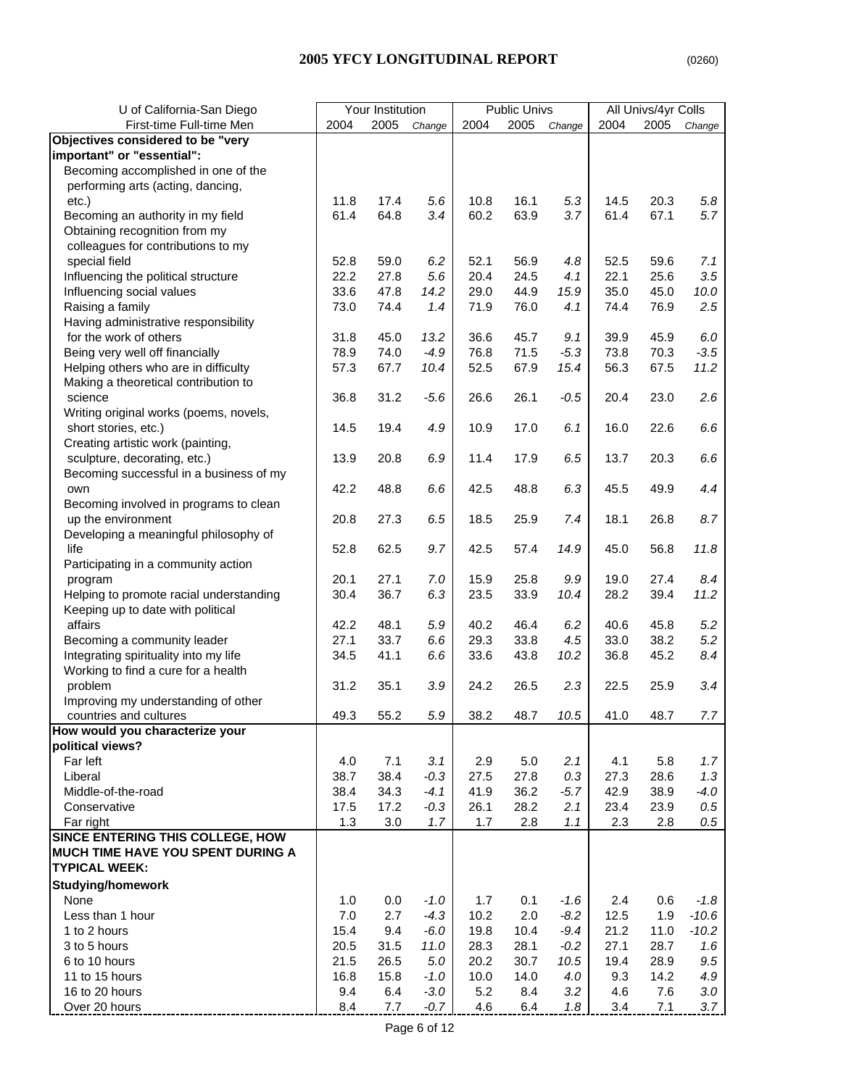## **2005 YFCY LONGITUDINAL REPORT** (0260)

| U of California-San Diego               |      | Your Institution |        |      | <b>Public Univs</b> |        |      | All Univs/4yr Colls |         |
|-----------------------------------------|------|------------------|--------|------|---------------------|--------|------|---------------------|---------|
| First-time Full-time Men                | 2004 | 2005             | Change | 2004 | 2005                | Change | 2004 | 2005                | Change  |
| Objectives considered to be "very       |      |                  |        |      |                     |        |      |                     |         |
| important" or "essential":              |      |                  |        |      |                     |        |      |                     |         |
| Becoming accomplished in one of the     |      |                  |        |      |                     |        |      |                     |         |
| performing arts (acting, dancing,       |      |                  |        |      |                     |        |      |                     |         |
| etc.)                                   | 11.8 | 17.4             | 5.6    | 10.8 | 16.1                | 5.3    | 14.5 | 20.3                | 5.8     |
| Becoming an authority in my field       | 61.4 | 64.8             | 3.4    | 60.2 | 63.9                | 3.7    | 61.4 | 67.1                | 5.7     |
| Obtaining recognition from my           |      |                  |        |      |                     |        |      |                     |         |
| colleagues for contributions to my      |      |                  |        |      |                     |        |      |                     |         |
| special field                           | 52.8 | 59.0             | 6.2    | 52.1 | 56.9                | 4.8    | 52.5 | 59.6                | 7.1     |
| Influencing the political structure     | 22.2 | 27.8             | 5.6    | 20.4 | 24.5                | 4.1    | 22.1 | 25.6                | 3.5     |
| Influencing social values               | 33.6 | 47.8             | 14.2   | 29.0 | 44.9                | 15.9   | 35.0 | 45.0                | 10.0    |
| Raising a family                        | 73.0 | 74.4             | 1.4    | 71.9 | 76.0                | 4.1    | 74.4 | 76.9                | 2.5     |
| Having administrative responsibility    |      |                  |        |      |                     |        |      |                     |         |
| for the work of others                  | 31.8 | 45.0             | 13.2   | 36.6 | 45.7                | 9.1    | 39.9 | 45.9                | 6.0     |
| Being very well off financially         | 78.9 | 74.0             | $-4.9$ | 76.8 | 71.5                | $-5.3$ | 73.8 | 70.3                | $-3.5$  |
| Helping others who are in difficulty    | 57.3 | 67.7             | 10.4   | 52.5 | 67.9                | 15.4   | 56.3 | 67.5                | 11.2    |
| Making a theoretical contribution to    |      |                  |        |      |                     |        |      |                     |         |
|                                         |      |                  |        |      |                     |        |      |                     |         |
| science                                 | 36.8 | 31.2             | $-5.6$ | 26.6 | 26.1                | $-0.5$ | 20.4 | 23.0                | 2.6     |
| Writing original works (poems, novels,  |      |                  |        |      |                     |        |      |                     |         |
| short stories, etc.)                    | 14.5 | 19.4             | 4.9    | 10.9 | 17.0                | 6.1    | 16.0 | 22.6                | 6.6     |
| Creating artistic work (painting,       |      |                  |        |      |                     |        |      |                     |         |
| sculpture, decorating, etc.)            | 13.9 | 20.8             | 6.9    | 11.4 | 17.9                | 6.5    | 13.7 | 20.3                | 6.6     |
| Becoming successful in a business of my |      |                  |        |      |                     |        |      |                     |         |
| own                                     | 42.2 | 48.8             | 6.6    | 42.5 | 48.8                | 6.3    | 45.5 | 49.9                | 4.4     |
| Becoming involved in programs to clean  |      |                  |        |      |                     |        |      |                     |         |
| up the environment                      | 20.8 | 27.3             | 6.5    | 18.5 | 25.9                | 7.4    | 18.1 | 26.8                | 8.7     |
| Developing a meaningful philosophy of   |      |                  |        |      |                     |        |      |                     |         |
| life                                    | 52.8 | 62.5             | 9.7    | 42.5 | 57.4                | 14.9   | 45.0 | 56.8                | 11.8    |
| Participating in a community action     |      |                  |        |      |                     |        |      |                     |         |
| program                                 | 20.1 | 27.1             | 7.0    | 15.9 | 25.8                | 9.9    | 19.0 | 27.4                | 8.4     |
| Helping to promote racial understanding | 30.4 | 36.7             | 6.3    | 23.5 | 33.9                | 10.4   | 28.2 | 39.4                | 11.2    |
| Keeping up to date with political       |      |                  |        |      |                     |        |      |                     |         |
| affairs                                 | 42.2 | 48.1             | 5.9    | 40.2 | 46.4                | 6.2    | 40.6 | 45.8                | 5.2     |
| Becoming a community leader             | 27.1 | 33.7             | 6.6    | 29.3 | 33.8                | 4.5    | 33.0 | 38.2                | 5.2     |
| Integrating spirituality into my life   | 34.5 | 41.1             | 6.6    | 33.6 | 43.8                | 10.2   | 36.8 | 45.2                | 8.4     |
| Working to find a cure for a health     |      |                  |        |      |                     |        |      |                     |         |
| problem                                 | 31.2 | 35.1             | 3.9    | 24.2 | 26.5                | 2.3    | 22.5 | 25.9                | 3.4     |
| Improving my understanding of other     |      |                  |        |      |                     |        |      |                     |         |
| countries and cultures                  | 49.3 | 55.2             | 5.9    | 38.2 | 48.7                | 10.5   | 41.0 | 48.7                | 7.7     |
| How would you characterize your         |      |                  |        |      |                     |        |      |                     |         |
| political views?                        |      |                  |        |      |                     |        |      |                     |         |
| Far left                                | 4.0  | 7.1              | 3.1    | 2.9  | 5.0                 | 2.1    | 4.1  | 5.8                 | 1.7     |
| Liberal                                 | 38.7 | 38.4             | $-0.3$ | 27.5 | 27.8                | 0.3    | 27.3 | 28.6                | 1.3     |
|                                         |      |                  |        |      |                     |        |      |                     |         |
| Middle-of-the-road<br>Conservative      | 38.4 | 34.3             | $-4.1$ | 41.9 | 36.2                | $-5.7$ | 42.9 | 38.9                | $-4.0$  |
|                                         | 17.5 | 17.2             | $-0.3$ | 26.1 | 28.2                | 2.1    | 23.4 | 23.9                | 0.5     |
| Far right                               | 1.3  | 3.0              | 1.7    | 1.7  | 2.8                 | 1.1    | 2.3  | 2.8                 | 0.5     |
| SINCE ENTERING THIS COLLEGE, HOW        |      |                  |        |      |                     |        |      |                     |         |
| MUCH TIME HAVE YOU SPENT DURING A       |      |                  |        |      |                     |        |      |                     |         |
| <b>TYPICAL WEEK:</b>                    |      |                  |        |      |                     |        |      |                     |         |
| <b>Studying/homework</b>                |      |                  |        |      |                     |        |      |                     |         |
| None                                    | 1.0  | 0.0              | $-1.0$ | 1.7  | 0.1                 | $-1.6$ | 2.4  | 0.6                 | $-1.8$  |
| Less than 1 hour                        | 7.0  | 2.7              | $-4.3$ | 10.2 | 2.0                 | $-8.2$ | 12.5 | 1.9                 | $-10.6$ |
| 1 to 2 hours                            | 15.4 | 9.4              | $-6.0$ | 19.8 | 10.4                | $-9.4$ | 21.2 | 11.0                | $-10.2$ |
| 3 to 5 hours                            | 20.5 | 31.5             | 11.0   | 28.3 | 28.1                | $-0.2$ | 27.1 | 28.7                | 1.6     |
| 6 to 10 hours                           | 21.5 | 26.5             | 5.0    | 20.2 | 30.7                | 10.5   | 19.4 | 28.9                | 9.5     |
| 11 to 15 hours                          | 16.8 | 15.8             | $-1.0$ | 10.0 | 14.0                | 4.0    | 9.3  | 14.2                | 4.9     |
| 16 to 20 hours                          | 9.4  | 6.4              | $-3.0$ | 5.2  | 8.4                 | 3.2    | 4.6  | 7.6                 | $3.0\,$ |
| Over 20 hours                           | 8.4  | 7.7              | $-0.7$ | 4.6  | 6.4                 | 1.8    | 3.4  | 7.1                 | 3.7     |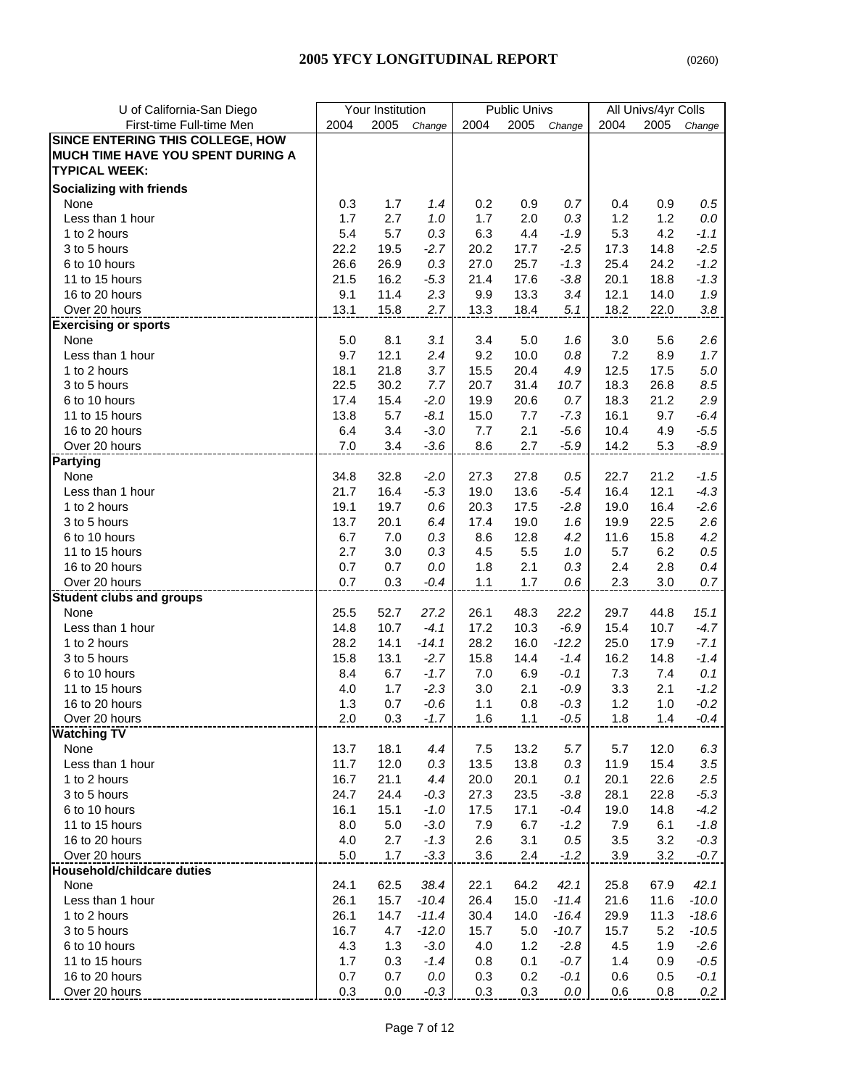|--|

| U of California-San Diego         |      | Your Institution |         |      | <b>Public Univs</b> |         |      | All Univs/4yr Colls |         |
|-----------------------------------|------|------------------|---------|------|---------------------|---------|------|---------------------|---------|
| First-time Full-time Men          | 2004 | 2005             | Change  | 2004 | 2005                | Change  | 2004 | 2005                | Change  |
| SINCE ENTERING THIS COLLEGE, HOW  |      |                  |         |      |                     |         |      |                     |         |
| MUCH TIME HAVE YOU SPENT DURING A |      |                  |         |      |                     |         |      |                     |         |
| <b>TYPICAL WEEK:</b>              |      |                  |         |      |                     |         |      |                     |         |
| <b>Socializing with friends</b>   |      |                  |         |      |                     |         |      |                     |         |
| None                              | 0.3  | 1.7              | 1.4     | 0.2  | 0.9                 | 0.7     | 0.4  | 0.9                 | $0.5\,$ |
| Less than 1 hour                  | 1.7  | 2.7              | 1.0     | 1.7  | 2.0                 | 0.3     | 1.2  | 1.2                 | $0.0\,$ |
| 1 to 2 hours                      | 5.4  | 5.7              | 0.3     | 6.3  | 4.4                 | $-1.9$  | 5.3  | 4.2                 | $-1.1$  |
| 3 to 5 hours                      | 22.2 | 19.5             | $-2.7$  | 20.2 | 17.7                | $-2.5$  | 17.3 | 14.8                | $-2.5$  |
| 6 to 10 hours                     | 26.6 | 26.9             | 0.3     | 27.0 | 25.7                | $-1.3$  | 25.4 | 24.2                | $-1.2$  |
| 11 to 15 hours                    | 21.5 | 16.2             | $-5.3$  | 21.4 | 17.6                | $-3.8$  | 20.1 | 18.8                | $-1.3$  |
| 16 to 20 hours                    | 9.1  | 11.4             | 2.3     | 9.9  | 13.3                | 3.4     | 12.1 | 14.0                | 1.9     |
| Over 20 hours                     | 13.1 | 15.8             | 2.7     | 13.3 | 18.4                | 5.1     | 18.2 | 22.0                | 3.8     |
| <b>Exercising or sports</b>       |      |                  |         |      |                     |         |      |                     |         |
| None                              | 5.0  | 8.1              | 3.1     | 3.4  | 5.0                 | 1.6     | 3.0  | 5.6                 | 2.6     |
| Less than 1 hour                  | 9.7  | 12.1             | 2.4     | 9.2  | 10.0                | 0.8     | 7.2  | 8.9                 | 1.7     |
| 1 to 2 hours                      | 18.1 | 21.8             | 3.7     | 15.5 | 20.4                | 4.9     | 12.5 | 17.5                | $5.0\,$ |
| 3 to 5 hours                      | 22.5 | 30.2             | 7.7     | 20.7 | 31.4                | 10.7    | 18.3 | 26.8                | 8.5     |
| 6 to 10 hours                     | 17.4 | 15.4             | $-2.0$  | 19.9 | 20.6                | 0.7     | 18.3 | 21.2                | 2.9     |
| 11 to 15 hours                    | 13.8 | 5.7              | $-8.1$  | 15.0 | 7.7                 | $-7.3$  | 16.1 | 9.7                 | $-6.4$  |
| 16 to 20 hours                    | 6.4  | 3.4              | $-3.0$  | 7.7  | 2.1                 | $-5.6$  | 10.4 | 4.9                 | $-5.5$  |
| Over 20 hours                     | 7.0  | 3.4              | $-3.6$  | 8.6  | 2.7                 | $-5.9$  | 14.2 | 5.3                 | $-8.9$  |
| <b>Partying</b>                   |      |                  |         |      |                     |         |      |                     |         |
| None                              | 34.8 | 32.8             | $-2.0$  | 27.3 | 27.8                | 0.5     | 22.7 | 21.2                | $-1.5$  |
| Less than 1 hour                  | 21.7 | 16.4             | $-5.3$  | 19.0 | 13.6                | $-5.4$  | 16.4 | 12.1                | $-4.3$  |
| 1 to 2 hours                      | 19.1 | 19.7             | 0.6     | 20.3 | 17.5                | $-2.8$  | 19.0 | 16.4                | $-2.6$  |
| 3 to 5 hours                      | 13.7 | 20.1             | 6.4     | 17.4 | 19.0                | 1.6     | 19.9 | 22.5                | 2.6     |
| 6 to 10 hours                     | 6.7  | 7.0              | 0.3     | 8.6  | 12.8                | 4.2     | 11.6 | 15.8                | 4.2     |
| 11 to 15 hours                    | 2.7  | 3.0              | 0.3     | 4.5  | 5.5                 | 1.0     | 5.7  | 6.2                 | 0.5     |
| 16 to 20 hours                    | 0.7  | 0.7              | 0.0     | 1.8  | 2.1                 | 0.3     | 2.4  | 2.8                 | 0.4     |
| Over 20 hours                     | 0.7  | 0.3              | $-0.4$  | 1.1  | 1.7                 | 0.6     | 2.3  | 3.0                 | 0.7     |
| <b>Student clubs and groups</b>   |      |                  |         |      |                     |         |      |                     |         |
| None                              | 25.5 | 52.7             | 27.2    | 26.1 | 48.3                | 22.2    | 29.7 | 44.8                | 15.1    |
| Less than 1 hour                  | 14.8 | 10.7             | $-4.1$  | 17.2 | 10.3                | $-6.9$  | 15.4 | 10.7                | $-4.7$  |
| 1 to 2 hours                      | 28.2 | 14.1             | $-14.1$ | 28.2 | 16.0                | $-12.2$ | 25.0 | 17.9                | $-7.1$  |
| 3 to 5 hours                      | 15.8 | 13.1             | $-2.7$  | 15.8 | 14.4                | $-1.4$  | 16.2 | 14.8                | $-1.4$  |
| 6 to 10 hours                     | 8.4  | 6.7              | $-1.7$  | 7.0  | 6.9                 | $-0.1$  | 7.3  | 7.4                 | 0.1     |
| 11 to 15 hours                    | 4.0  | 1.7              | $-2.3$  | 3.0  | 2.1                 | $-0.9$  | 3.3  | 2.1                 | $-1.2$  |
| 16 to 20 hours                    | 1.3  | 0.7              | $-0.6$  | 1.1  | 0.8                 | $-0.3$  | 1.2  | 1.0                 | $-0.2$  |
| Over 20 hours                     | 2.0  | 0.3              | $-1.7$  | 1.6  | 1.1                 | $-0.5$  | 1.8  | 1.4                 | $-0.4$  |
| <b>Watching TV</b>                |      |                  |         |      |                     |         |      |                     |         |
| None                              | 13.7 | 18.1             | 4.4     | 7.5  | 13.2                | 5.7     | 5.7  | 12.0                | 6.3     |
| Less than 1 hour                  | 11.7 | 12.0             | 0.3     | 13.5 | 13.8                | 0.3     | 11.9 | 15.4                | 3.5     |
| 1 to 2 hours                      | 16.7 | 21.1             | 4.4     | 20.0 | 20.1                | 0.1     | 20.1 | 22.6                | 2.5     |
| 3 to 5 hours                      | 24.7 | 24.4             | $-0.3$  | 27.3 | 23.5                | $-3.8$  | 28.1 | 22.8                | $-5.3$  |
| 6 to 10 hours                     | 16.1 | 15.1             | $-1.0$  | 17.5 | 17.1                | $-0.4$  | 19.0 | 14.8                | $-4.2$  |
| 11 to 15 hours                    | 8.0  | 5.0              | $-3.0$  | 7.9  | 6.7                 | $-1.2$  | 7.9  | 6.1                 | $-1.8$  |
| 16 to 20 hours                    | 4.0  | 2.7              | $-1.3$  | 2.6  | 3.1                 | 0.5     | 3.5  | 3.2                 | $-0.3$  |
| Over 20 hours                     | 5.0  | 1.7              | $-3.3$  | 3.6  | $2.4\,$             | $-1.2$  | 3.9  | 3.2                 | $-0.7$  |
| Household/childcare duties        |      |                  |         |      |                     |         |      |                     |         |
| None                              | 24.1 | 62.5             | 38.4    | 22.1 | 64.2                | 42.1    | 25.8 | 67.9                | 42.1    |
| Less than 1 hour                  | 26.1 | 15.7             | $-10.4$ | 26.4 | 15.0                | $-11.4$ | 21.6 | 11.6                | $-10.0$ |
| 1 to 2 hours                      | 26.1 | 14.7             | $-11.4$ | 30.4 | 14.0                | $-16.4$ | 29.9 | 11.3                | $-18.6$ |
| 3 to 5 hours                      | 16.7 | 4.7              | $-12.0$ | 15.7 | 5.0                 | $-10.7$ | 15.7 | 5.2                 | $-10.5$ |
| 6 to 10 hours                     | 4.3  | 1.3              | $-3.0$  | 4.0  | 1.2                 | $-2.8$  | 4.5  | 1.9                 | $-2.6$  |
| 11 to 15 hours                    | 1.7  | 0.3              | $-1.4$  | 0.8  | 0.1                 | $-0.7$  | 1.4  | 0.9                 | $-0.5$  |
| 16 to 20 hours                    | 0.7  | 0.7              | 0.0     | 0.3  | 0.2                 | $-0.1$  | 0.6  | 0.5                 | $-0.1$  |
| Over 20 hours                     | 0.3  | 0.0              | $-0.3$  | 0.3  | 0.3                 | 0.0     | 0.6  | 0.8                 | 0.2     |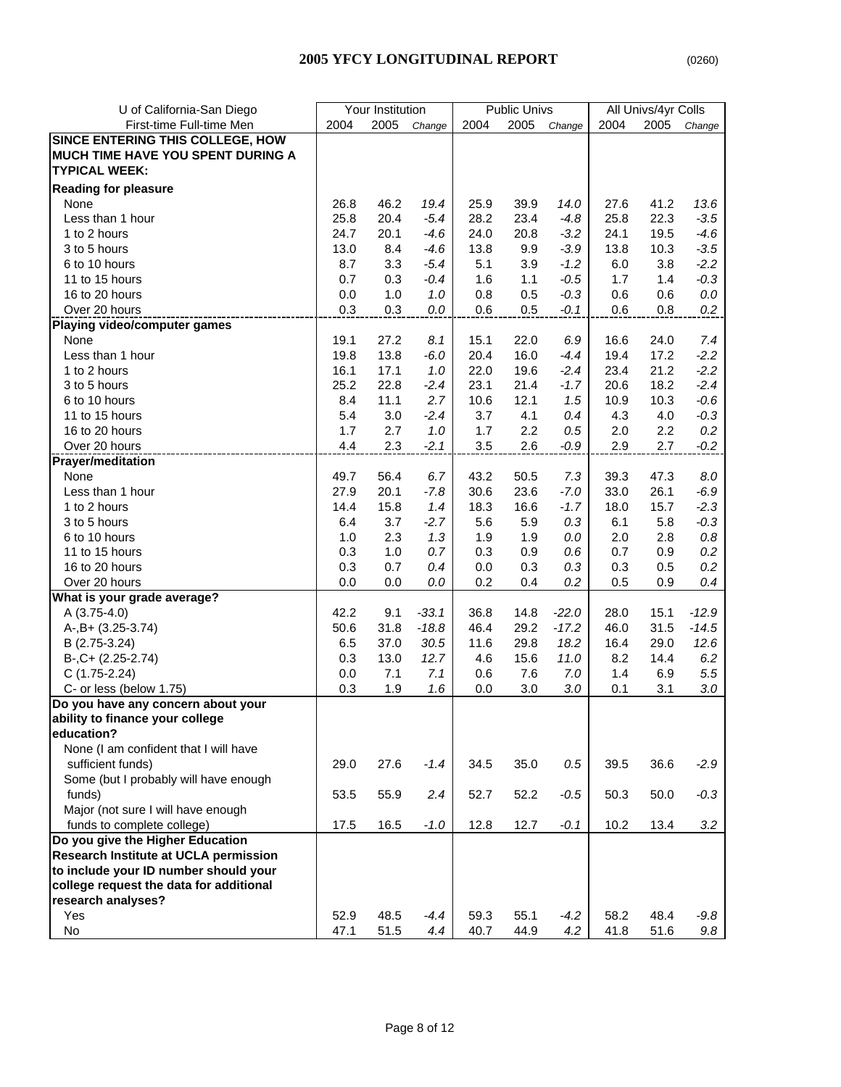| U of California-San Diego               |      | Your Institution |         |      | <b>Public Univs</b> |         |      | All Univs/4yr Colls |         |
|-----------------------------------------|------|------------------|---------|------|---------------------|---------|------|---------------------|---------|
| First-time Full-time Men                | 2004 | 2005             | Change  | 2004 | 2005                | Change  | 2004 | 2005                | Change  |
| <b>SINCE ENTERING THIS COLLEGE, HOW</b> |      |                  |         |      |                     |         |      |                     |         |
| MUCH TIME HAVE YOU SPENT DURING A       |      |                  |         |      |                     |         |      |                     |         |
| <b>TYPICAL WEEK:</b>                    |      |                  |         |      |                     |         |      |                     |         |
| <b>Reading for pleasure</b>             |      |                  |         |      |                     |         |      |                     |         |
| None                                    | 26.8 | 46.2             | 19.4    | 25.9 | 39.9                | 14.0    | 27.6 | 41.2                | 13.6    |
| Less than 1 hour                        | 25.8 | 20.4             | $-5.4$  | 28.2 | 23.4                | $-4.8$  | 25.8 | 22.3                | $-3.5$  |
| 1 to 2 hours                            | 24.7 | 20.1             | $-4.6$  | 24.0 | 20.8                | $-3.2$  | 24.1 | 19.5                | $-4.6$  |
| 3 to 5 hours                            | 13.0 | 8.4              | $-4.6$  | 13.8 | 9.9                 | $-3.9$  | 13.8 | 10.3                | $-3.5$  |
|                                         |      |                  |         |      |                     |         |      | 3.8                 |         |
| 6 to 10 hours                           | 8.7  | 3.3              | $-5.4$  | 5.1  | 3.9                 | $-1.2$  | 6.0  |                     | $-2.2$  |
| 11 to 15 hours                          | 0.7  | 0.3              | $-0.4$  | 1.6  | 1.1                 | $-0.5$  | 1.7  | 1.4                 | $-0.3$  |
| 16 to 20 hours                          | 0.0  | 1.0              | 1.0     | 0.8  | 0.5                 | $-0.3$  | 0.6  | 0.6                 | $0.0\,$ |
| Over 20 hours                           | 0.3  | 0.3              | $0.0$   | 0.6  | 0.5                 | $-0.1$  | 0.6  | 0.8                 | 0.2     |
| Playing video/computer games            |      |                  |         |      |                     |         |      |                     |         |
| None                                    | 19.1 | 27.2             | 8.1     | 15.1 | 22.0                | 6.9     | 16.6 | 24.0                | 7.4     |
| Less than 1 hour                        | 19.8 | 13.8             | $-6.0$  | 20.4 | 16.0                | $-4.4$  | 19.4 | 17.2                | $-2.2$  |
| 1 to 2 hours                            | 16.1 | 17.1             | 1.0     | 22.0 | 19.6                | $-2.4$  | 23.4 | 21.2                | $-2.2$  |
| 3 to 5 hours                            | 25.2 | 22.8             | $-2.4$  | 23.1 | 21.4                | $-1.7$  | 20.6 | 18.2                | $-2.4$  |
| 6 to 10 hours                           | 8.4  | 11.1             | 2.7     | 10.6 | 12.1                | 1.5     | 10.9 | 10.3                | $-0.6$  |
| 11 to 15 hours                          | 5.4  | 3.0              | $-2.4$  | 3.7  | 4.1                 | 0.4     | 4.3  | 4.0                 | $-0.3$  |
| 16 to 20 hours                          | 1.7  | 2.7              | 1.0     | 1.7  | 2.2                 | 0.5     | 2.0  | 2.2                 | 0.2     |
| Over 20 hours                           | 4.4  | 2.3              | $-2.1$  | 3.5  | 2.6                 | $-0.9$  | 2.9  | 2.7                 | $-0.2$  |
| <b>Prayer/meditation</b>                |      |                  |         |      |                     |         |      |                     |         |
| None                                    | 49.7 | 56.4             | 6.7     | 43.2 | 50.5                | 7.3     | 39.3 | 47.3                | $8.0\,$ |
| Less than 1 hour                        | 27.9 | 20.1             | $-7.8$  | 30.6 | 23.6                | $-7.0$  | 33.0 | 26.1                | $-6.9$  |
| 1 to 2 hours                            | 14.4 | 15.8             | 1.4     | 18.3 | 16.6                | $-1.7$  | 18.0 | 15.7                | $-2.3$  |
| 3 to 5 hours                            | 6.4  | 3.7              | $-2.7$  | 5.6  | 5.9                 | 0.3     | 6.1  | 5.8                 | $-0.3$  |
| 6 to 10 hours                           | 1.0  | 2.3              | 1.3     | 1.9  | 1.9                 | 0.0     | 2.0  | 2.8                 | $0.8\,$ |
| 11 to 15 hours                          | 0.3  | 1.0              | 0.7     | 0.3  | 0.9                 | 0.6     | 0.7  | 0.9                 | 0.2     |
| 16 to 20 hours                          | 0.3  | 0.7              | 0.4     | 0.0  | 0.3                 | 0.3     | 0.3  | 0.5                 | 0.2     |
| Over 20 hours                           | 0.0  | 0.0              | $0.0$   | 0.2  | 0.4                 | 0.2     | 0.5  | 0.9                 | 0.4     |
| What is your grade average?             |      |                  |         |      |                     |         |      |                     |         |
| A $(3.75-4.0)$                          | 42.2 | 9.1              | $-33.1$ | 36.8 | 14.8                | $-22.0$ | 28.0 | 15.1                | $-12.9$ |
| A-, B+ (3.25-3.74)                      | 50.6 | 31.8             | $-18.8$ | 46.4 | 29.2                | $-17.2$ | 46.0 | 31.5                | $-14.5$ |
| B (2.75-3.24)                           | 6.5  | 37.0             | 30.5    | 11.6 | 29.8                | 18.2    | 16.4 | 29.0                | 12.6    |
| $B-, C+ (2.25-2.74)$                    | 0.3  | 13.0             | 12.7    | 4.6  | 15.6                | 11.0    | 8.2  | 14.4                | 6.2     |
| $C(1.75-2.24)$                          | 0.0  | 7.1              | 7.1     | 0.6  | 7.6                 | 7.0     | 1.4  | 6.9                 | 5.5     |
| C- or less (below 1.75)                 | 0.3  | 1.9              | 1.6     | 0.0  | 3.0                 | 3.0     | 0.1  | 3.1                 | 3.0     |
| Do you have any concern about your      |      |                  |         |      |                     |         |      |                     |         |
| ability to finance your college         |      |                  |         |      |                     |         |      |                     |         |
| education?                              |      |                  |         |      |                     |         |      |                     |         |
| None (I am confident that I will have   |      |                  |         |      |                     |         |      |                     |         |
| sufficient funds)                       | 29.0 | 27.6             | $-1.4$  | 34.5 | 35.0                | $0.5\,$ | 39.5 | 36.6                | $-2.9$  |
| Some (but I probably will have enough   |      |                  |         |      |                     |         |      |                     |         |
| funds)                                  | 53.5 | 55.9             | 2.4     | 52.7 | 52.2                | $-0.5$  | 50.3 | 50.0                | $-0.3$  |
| Major (not sure I will have enough      |      |                  |         |      |                     |         |      |                     |         |
| funds to complete college)              | 17.5 | 16.5             | $-1.0$  | 12.8 | 12.7                | $-0.1$  | 10.2 | 13.4                | 3.2     |
| Do you give the Higher Education        |      |                  |         |      |                     |         |      |                     |         |
| Research Institute at UCLA permission   |      |                  |         |      |                     |         |      |                     |         |
| to include your ID number should your   |      |                  |         |      |                     |         |      |                     |         |
| college request the data for additional |      |                  |         |      |                     |         |      |                     |         |
| research analyses?                      |      |                  |         |      |                     |         |      |                     |         |
| Yes                                     | 52.9 | 48.5             | $-4.4$  | 59.3 | 55.1                | $-4.2$  | 58.2 | 48.4                | $-9.8$  |
| No                                      | 47.1 | 51.5             | 4.4     | 40.7 | 44.9                | 4.2     | 41.8 | 51.6                | 9.8     |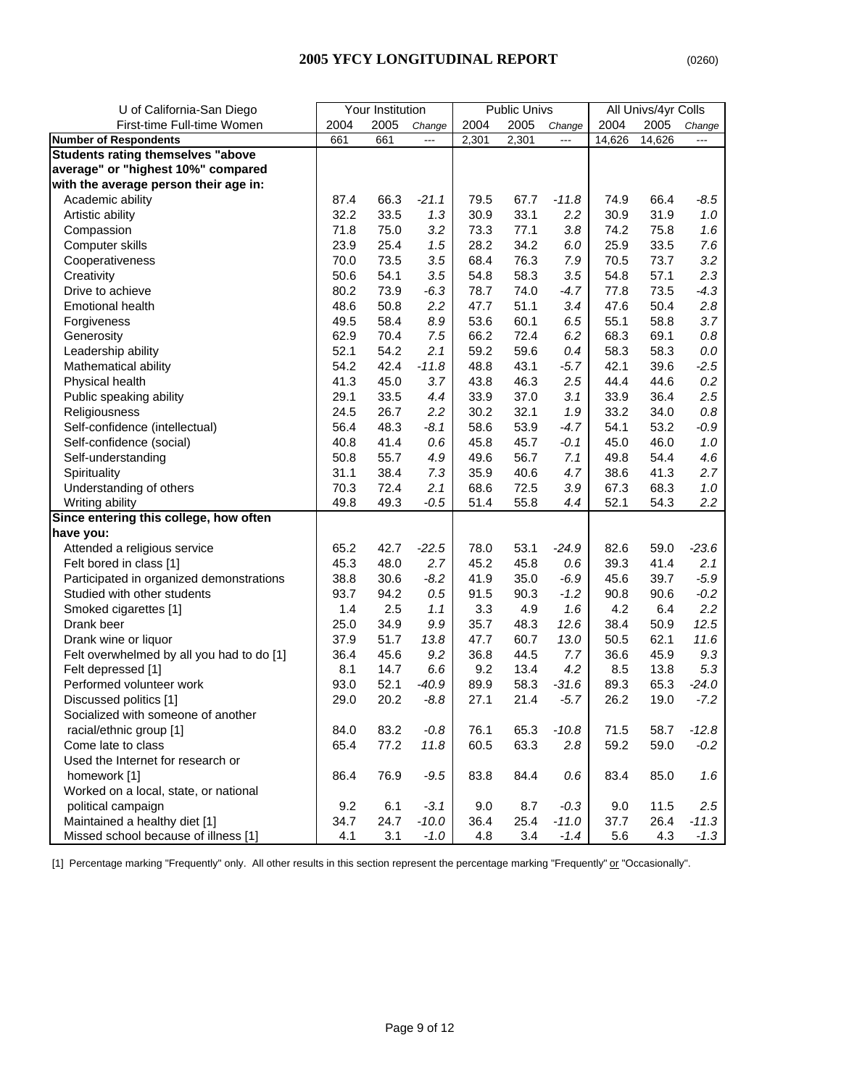| U of California-San Diego                 |      | Your Institution |                          |       | <b>Public Univs</b> |                |        | All Univs/4yr Colls |         |
|-------------------------------------------|------|------------------|--------------------------|-------|---------------------|----------------|--------|---------------------|---------|
| First-time Full-time Women                | 2004 | 2005             | Change                   | 2004  | 2005                | Change         | 2004   | 2005                | Change  |
| <b>Number of Respondents</b>              | 661  | 661              | $\overline{\phantom{a}}$ | 2,301 | 2,301               | $\overline{a}$ | 14,626 | 14,626              | $---$   |
| <b>Students rating themselves "above</b>  |      |                  |                          |       |                     |                |        |                     |         |
| average" or "highest 10%" compared        |      |                  |                          |       |                     |                |        |                     |         |
| with the average person their age in:     |      |                  |                          |       |                     |                |        |                     |         |
| Academic ability                          | 87.4 | 66.3             | $-21.1$                  | 79.5  | 67.7                | $-11.8$        | 74.9   | 66.4                | $-8.5$  |
| Artistic ability                          | 32.2 | 33.5             | 1.3                      | 30.9  | 33.1                | 2.2            | 30.9   | 31.9                | 1.0     |
| Compassion                                | 71.8 | 75.0             | 3.2                      | 73.3  | 77.1                | 3.8            | 74.2   | 75.8                | 1.6     |
| Computer skills                           | 23.9 | 25.4             | 1.5                      | 28.2  | 34.2                | $6.0\,$        | 25.9   | 33.5                | 7.6     |
| Cooperativeness                           | 70.0 | 73.5             | 3.5                      | 68.4  | 76.3                | 7.9            | 70.5   | 73.7                | 3.2     |
| Creativity                                | 50.6 | 54.1             | 3.5                      | 54.8  | 58.3                | 3.5            | 54.8   | 57.1                | 2.3     |
| Drive to achieve                          | 80.2 | 73.9             | $-6.3$                   | 78.7  | 74.0                | $-4.7$         | 77.8   | 73.5                | $-4.3$  |
| <b>Emotional health</b>                   | 48.6 | 50.8             | 2.2                      | 47.7  | 51.1                | 3.4            | 47.6   | 50.4                | 2.8     |
| Forgiveness                               | 49.5 | 58.4             | 8.9                      | 53.6  | 60.1                | 6.5            | 55.1   | 58.8                | 3.7     |
| Generosity                                | 62.9 | 70.4             | 7.5                      | 66.2  | 72.4                | 6.2            | 68.3   | 69.1                | $0.8\,$ |
| Leadership ability                        | 52.1 | 54.2             | 2.1                      | 59.2  | 59.6                | 0.4            | 58.3   | 58.3                | $0.0\,$ |
| Mathematical ability                      | 54.2 | 42.4             | $-11.8$                  | 48.8  | 43.1                | $-5.7$         | 42.1   | 39.6                | $-2.5$  |
| Physical health                           | 41.3 | 45.0             | 3.7                      | 43.8  | 46.3                | 2.5            | 44.4   | 44.6                | 0.2     |
| Public speaking ability                   | 29.1 | 33.5             | 4.4                      | 33.9  | 37.0                | 3.1            | 33.9   | 36.4                | 2.5     |
| Religiousness                             | 24.5 | 26.7             | 2.2                      | 30.2  | 32.1                | 1.9            | 33.2   | 34.0                | $0.8\,$ |
| Self-confidence (intellectual)            | 56.4 | 48.3             | $-8.1$                   | 58.6  | 53.9                | $-4.7$         | 54.1   | 53.2                | $-0.9$  |
| Self-confidence (social)                  | 40.8 | 41.4             | 0.6                      | 45.8  | 45.7                | $-0.1$         | 45.0   | 46.0                | 1.0     |
| Self-understanding                        | 50.8 | 55.7             | 4.9                      | 49.6  | 56.7                | 7.1            | 49.8   | 54.4                | 4.6     |
| Spirituality                              | 31.1 | 38.4             | 7.3                      | 35.9  | 40.6                | 4.7            | 38.6   | 41.3                | 2.7     |
| Understanding of others                   | 70.3 | 72.4             | 2.1                      | 68.6  | 72.5                | 3.9            | 67.3   | 68.3                | 1.0     |
| Writing ability                           | 49.8 | 49.3             | $-0.5$                   | 51.4  | 55.8                | 4.4            | 52.1   | 54.3                | 2.2     |
| Since entering this college, how often    |      |                  |                          |       |                     |                |        |                     |         |
| have you:                                 |      |                  |                          |       |                     |                |        |                     |         |
| Attended a religious service              | 65.2 | 42.7             | $-22.5$                  | 78.0  | 53.1                | $-24.9$        | 82.6   | 59.0                | $-23.6$ |
| Felt bored in class [1]                   | 45.3 | 48.0             | 2.7                      | 45.2  | 45.8                | 0.6            | 39.3   | 41.4                | 2.1     |
| Participated in organized demonstrations  | 38.8 | 30.6             | $-8.2$                   | 41.9  | 35.0                | $-6.9$         | 45.6   | 39.7                | $-5.9$  |
| Studied with other students               | 93.7 | 94.2             | 0.5                      | 91.5  | 90.3                | $-1.2$         | 90.8   | 90.6                | $-0.2$  |
| Smoked cigarettes [1]                     | 1.4  | 2.5              | 1.1                      | 3.3   | 4.9                 | 1.6            | 4.2    | 6.4                 | 2.2     |
| Drank beer                                | 25.0 | 34.9             | 9.9                      | 35.7  | 48.3                | 12.6           | 38.4   | 50.9                | 12.5    |
| Drank wine or liquor                      | 37.9 | 51.7             | 13.8                     | 47.7  | 60.7                | 13.0           | 50.5   | 62.1                | 11.6    |
| Felt overwhelmed by all you had to do [1] | 36.4 | 45.6             | 9.2                      | 36.8  | 44.5                | 7.7            | 36.6   | 45.9                | 9.3     |
| Felt depressed [1]                        | 8.1  | 14.7             | 6.6                      | 9.2   | 13.4                | 4.2            | 8.5    | 13.8                | 5.3     |
| Performed volunteer work                  | 93.0 | 52.1             | $-40.9$                  | 89.9  | 58.3                | $-31.6$        | 89.3   | 65.3                | $-24.0$ |
| Discussed politics [1]                    | 29.0 | 20.2             | $-8.8$                   | 27.1  | 21.4                | $-5.7$         | 26.2   | 19.0                | $-7.2$  |
| Socialized with someone of another        |      |                  |                          |       |                     |                |        |                     |         |
| racial/ethnic group [1]                   | 84.0 | 83.2             | $-0.8$                   | 76.1  | 65.3                | $-10.8$        | 71.5   | 58.7                | $-12.8$ |
| Come late to class                        | 65.4 | 77.2             | 11.8                     | 60.5  | 63.3                | 2.8            | 59.2   | 59.0                | $-0.2$  |
| Used the Internet for research or         |      |                  |                          |       |                     |                |        |                     |         |
| homework [1]                              | 86.4 | 76.9             | $-9.5$                   | 83.8  | 84.4                | 0.6            | 83.4   | 85.0                | 1.6     |
| Worked on a local, state, or national     |      |                  |                          |       |                     |                |        |                     |         |
| political campaign                        | 9.2  | 6.1              | $-3.1$                   | 9.0   | 8.7                 | $-0.3$         | 9.0    | 11.5                | 2.5     |
| Maintained a healthy diet [1]             | 34.7 | 24.7             | $-10.0$                  | 36.4  | 25.4                | $-11.0$        | 37.7   | 26.4                | $-11.3$ |
| Missed school because of illness [1]      | 4.1  | 3.1              | $-1.0$                   | 4.8   | 3.4                 | $-1.4$         | 5.6    | 4.3                 | $-1.3$  |

[1] Percentage marking "Frequently" only. All other results in this section represent the percentage marking "Frequently" or "Occasionally".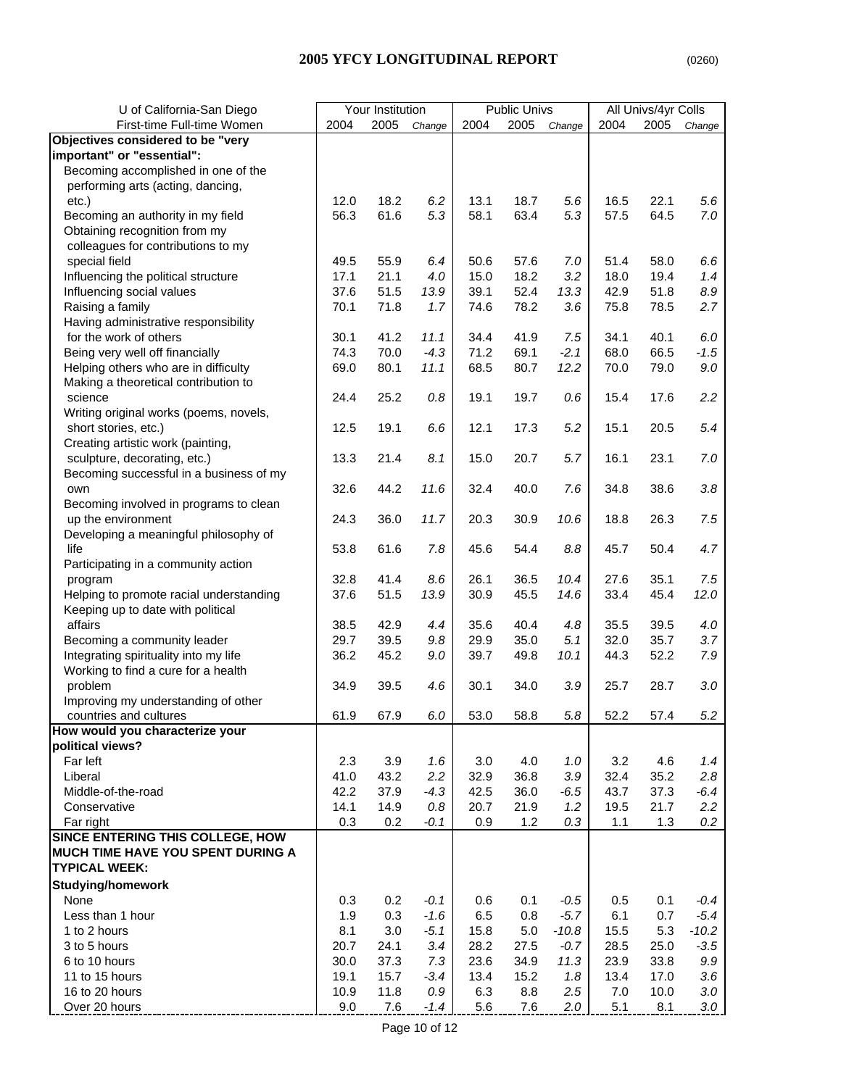## **2005 YFCY LONGITUDINAL REPORT** (0260)

| U of California-San Diego               | Your Institution |      |         | Public Univs |      |         | All Univs/4yr Colls |      |         |
|-----------------------------------------|------------------|------|---------|--------------|------|---------|---------------------|------|---------|
| First-time Full-time Women              | 2004             | 2005 | Change  | 2004         | 2005 | Change  | 2004                | 2005 | Change  |
| Objectives considered to be "very       |                  |      |         |              |      |         |                     |      |         |
| important" or "essential":              |                  |      |         |              |      |         |                     |      |         |
| Becoming accomplished in one of the     |                  |      |         |              |      |         |                     |      |         |
| performing arts (acting, dancing,       |                  |      |         |              |      |         |                     |      |         |
| etc.)                                   | 12.0             | 18.2 | 6.2     | 13.1         | 18.7 | 5.6     | 16.5                | 22.1 | 5.6     |
| Becoming an authority in my field       | 56.3             | 61.6 | 5.3     | 58.1         | 63.4 | 5.3     | 57.5                | 64.5 | 7.0     |
| Obtaining recognition from my           |                  |      |         |              |      |         |                     |      |         |
| colleagues for contributions to my      |                  |      |         |              |      |         |                     |      |         |
| special field                           | 49.5             | 55.9 | 6.4     | 50.6         | 57.6 | 7.0     | 51.4                | 58.0 | 6.6     |
| Influencing the political structure     | 17.1             | 21.1 | 4.0     | 15.0         | 18.2 | 3.2     | 18.0                | 19.4 | 1.4     |
| Influencing social values               | 37.6             | 51.5 | 13.9    | 39.1         | 52.4 | 13.3    | 42.9                | 51.8 | $8.9\,$ |
| Raising a family                        | 70.1             | 71.8 | 1.7     | 74.6         | 78.2 | 3.6     | 75.8                | 78.5 | 2.7     |
| Having administrative responsibility    |                  |      |         |              |      |         |                     |      |         |
| for the work of others                  | 30.1             | 41.2 | 11.1    | 34.4         | 41.9 | 7.5     | 34.1                | 40.1 | 6.0     |
| Being very well off financially         | 74.3             | 70.0 | $-4.3$  | 71.2         | 69.1 | $-2.1$  | 68.0                | 66.5 | $-1.5$  |
| Helping others who are in difficulty    | 69.0             | 80.1 | 11.1    | 68.5         | 80.7 | 12.2    | 70.0                | 79.0 | $9.0\,$ |
| Making a theoretical contribution to    |                  |      |         |              |      |         |                     |      |         |
| science                                 | 24.4             | 25.2 | 0.8     | 19.1         | 19.7 | 0.6     | 15.4                | 17.6 | 2.2     |
| Writing original works (poems, novels,  |                  |      |         |              |      |         |                     |      |         |
| short stories, etc.)                    | 12.5             | 19.1 | 6.6     | 12.1         | 17.3 | 5.2     | 15.1                | 20.5 | 5.4     |
| Creating artistic work (painting,       |                  |      |         |              |      |         |                     |      |         |
| sculpture, decorating, etc.)            | 13.3             | 21.4 | 8.1     | 15.0         | 20.7 | 5.7     | 16.1                | 23.1 | $7.0\,$ |
| Becoming successful in a business of my |                  |      |         |              |      |         |                     |      |         |
| own                                     | 32.6             | 44.2 | 11.6    | 32.4         | 40.0 | 7.6     | 34.8                | 38.6 | 3.8     |
| Becoming involved in programs to clean  |                  |      |         |              |      |         |                     |      |         |
| up the environment                      | 24.3             | 36.0 | 11.7    | 20.3         | 30.9 | 10.6    | 18.8                | 26.3 | 7.5     |
| Developing a meaningful philosophy of   |                  |      |         |              |      |         |                     |      |         |
| life                                    | 53.8             | 61.6 | 7.8     | 45.6         | 54.4 | 8.8     | 45.7                | 50.4 | 4.7     |
| Participating in a community action     |                  |      |         |              |      |         |                     |      |         |
| program                                 | 32.8             | 41.4 | 8.6     | 26.1         | 36.5 | 10.4    | 27.6                | 35.1 | 7.5     |
| Helping to promote racial understanding | 37.6             | 51.5 | 13.9    | 30.9         | 45.5 | 14.6    | 33.4                | 45.4 | 12.0    |
| Keeping up to date with political       |                  |      |         |              |      |         |                     |      |         |
| affairs                                 | 38.5             | 42.9 | 4.4     | 35.6         | 40.4 | 4.8     | 35.5                | 39.5 | 4.0     |
| Becoming a community leader             | 29.7             | 39.5 | $9.8\,$ | 29.9         | 35.0 | 5.1     | 32.0                | 35.7 | 3.7     |
| Integrating spirituality into my life   | 36.2             | 45.2 | $9.0\,$ | 39.7         | 49.8 | 10.1    | 44.3                | 52.2 | 7.9     |
| Working to find a cure for a health     |                  |      |         |              |      |         |                     |      |         |
| problem                                 | 34.9             | 39.5 | 4.6     | 30.1         | 34.0 | 3.9     | 25.7                | 28.7 | $3.0\,$ |
| Improving my understanding of other     |                  |      |         |              |      |         |                     |      |         |
| countries and cultures                  | 61.9             | 67.9 | 6.0     | 53.0         | 58.8 | 5.8     | 52.2                | 57.4 | 5.2     |
| How would you characterize your         |                  |      |         |              |      |         |                     |      |         |
| political views?                        |                  |      |         |              |      |         |                     |      |         |
| Far left                                | 2.3              | 3.9  | 1.6     | 3.0          | 4.0  | 1.0     | 3.2                 | 4.6  | 1.4     |
| Liberal                                 | 41.0             | 43.2 | 2.2     | 32.9         | 36.8 | 3.9     | 32.4                | 35.2 | 2.8     |
| Middle-of-the-road                      | 42.2             | 37.9 | $-4.3$  | 42.5         | 36.0 | $-6.5$  | 43.7                | 37.3 | $-6.4$  |
| Conservative                            | 14.1             | 14.9 | 0.8     | 20.7         | 21.9 | 1.2     | 19.5                | 21.7 | 2.2     |
| Far right                               | 0.3              | 0.2  | $-0.1$  | 0.9          | 1.2  | 0.3     | 1.1                 | 1.3  | 0.2     |
| SINCE ENTERING THIS COLLEGE, HOW        |                  |      |         |              |      |         |                     |      |         |
| MUCH TIME HAVE YOU SPENT DURING A       |                  |      |         |              |      |         |                     |      |         |
| <b>TYPICAL WEEK:</b>                    |                  |      |         |              |      |         |                     |      |         |
| <b>Studying/homework</b>                |                  |      |         |              |      |         |                     |      |         |
| None                                    | 0.3              | 0.2  | $-0.1$  | 0.6          | 0.1  | $-0.5$  | 0.5                 | 0.1  | $-0.4$  |
| Less than 1 hour                        | 1.9              | 0.3  | $-1.6$  | 6.5          | 0.8  | $-5.7$  | 6.1                 | 0.7  | $-5.4$  |
| 1 to 2 hours                            | 8.1              | 3.0  | $-5.1$  | 15.8         | 5.0  | $-10.8$ | 15.5                | 5.3  | $-10.2$ |
| 3 to 5 hours                            | 20.7             | 24.1 | 3.4     | 28.2         | 27.5 | $-0.7$  | 28.5                | 25.0 | $-3.5$  |
| 6 to 10 hours                           | 30.0             | 37.3 | 7.3     | 23.6         | 34.9 | 11.3    | 23.9                | 33.8 | 9.9     |
| 11 to 15 hours                          | 19.1             | 15.7 | $-3.4$  | 13.4         | 15.2 | 1.8     | 13.4                | 17.0 | 3.6     |
| 16 to 20 hours                          | 10.9             | 11.8 | 0.9     | 6.3          | 8.8  | 2.5     | 7.0                 | 10.0 | $3.0\,$ |
| Over 20 hours                           | 9.0              | 7.6  | $-1.4$  | 5.6          | 7.6  | 2.0     | 5.1                 | 8.1  | $3.0\,$ |
|                                         |                  |      |         |              |      |         |                     |      |         |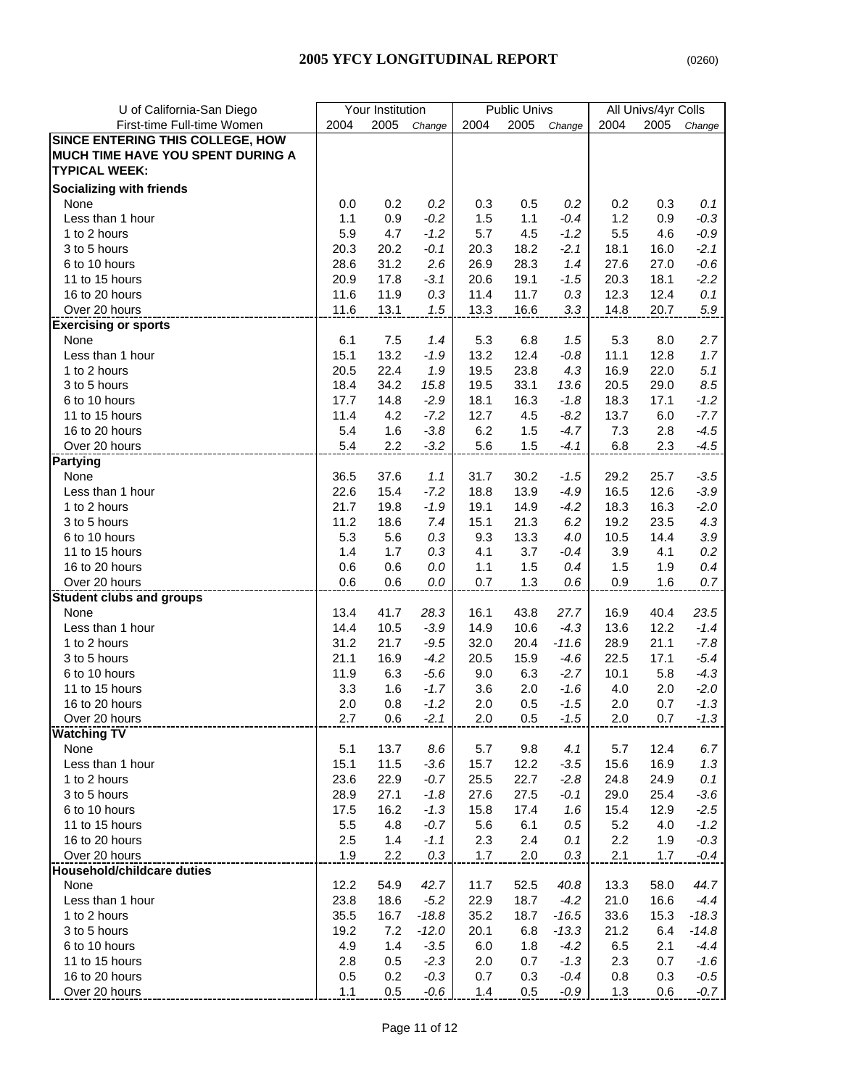|--|

| U of California-San Diego         | Your Institution |              |                    | <b>Public Univs</b> |             |                   | All Univs/4yr Colls |              |                   |
|-----------------------------------|------------------|--------------|--------------------|---------------------|-------------|-------------------|---------------------|--------------|-------------------|
| First-time Full-time Women        | 2004             | 2005         | Change             | 2004                | 2005        | Change            | 2004                | 2005         | Change            |
| SINCE ENTERING THIS COLLEGE, HOW  |                  |              |                    |                     |             |                   |                     |              |                   |
| MUCH TIME HAVE YOU SPENT DURING A |                  |              |                    |                     |             |                   |                     |              |                   |
| <b>TYPICAL WEEK:</b>              |                  |              |                    |                     |             |                   |                     |              |                   |
| <b>Socializing with friends</b>   |                  |              |                    |                     |             |                   |                     |              |                   |
| None                              | 0.0              | 0.2          | 0.2                | 0.3                 | 0.5         | 0.2               | 0.2                 | 0.3          | 0.1               |
| Less than 1 hour                  | 1.1              | 0.9          | $-0.2$             | 1.5                 | 1.1         | $-0.4$            | 1.2                 | 0.9          | $-0.3$            |
| 1 to 2 hours                      | 5.9              | 4.7          | $-1.2$             | 5.7                 | 4.5         | $-1.2$            | 5.5                 | 4.6          | $-0.9$            |
| 3 to 5 hours                      | 20.3             | 20.2         | $-0.1$             | 20.3                | 18.2        | $-2.1$            | 18.1                | 16.0         | $-2.1$            |
| 6 to 10 hours                     | 28.6             | 31.2         | 2.6                | 26.9                | 28.3        | 1.4               | 27.6                | 27.0         | $-0.6$            |
| 11 to 15 hours                    | 20.9             | 17.8         | $-3.1$             | 20.6                | 19.1        | $-1.5$            | 20.3                | 18.1         | $-2.2$            |
| 16 to 20 hours                    | 11.6             | 11.9         | 0.3                | 11.4                | 11.7        | 0.3               | 12.3                | 12.4         | 0.1               |
| Over 20 hours                     | 11.6             | 13.1         | 1.5                | 13.3                | 16.6        | 3.3               | 14.8                | 20.7         | 5.9               |
| <b>Exercising or sports</b>       |                  |              |                    |                     |             |                   |                     |              |                   |
| None                              | 6.1              | 7.5          | 1.4                | 5.3                 | 6.8         | 1.5               | 5.3                 | 8.0          | 2.7               |
| Less than 1 hour                  | 15.1             | 13.2         | $-1.9$             | 13.2                | 12.4        | $-0.8$            | 11.1                | 12.8         | 1.7               |
| 1 to 2 hours                      | 20.5             | 22.4         | 1.9                | 19.5                | 23.8        | 4.3               | 16.9                | 22.0         | 5.1               |
| 3 to 5 hours                      | 18.4             | 34.2         | 15.8               | 19.5                | 33.1        | 13.6              | 20.5                | 29.0         | 8.5               |
| 6 to 10 hours                     | 17.7             | 14.8         | $-2.9$             | 18.1                | 16.3        | $-1.8$            | 18.3                | 17.1         | $-1.2$            |
| 11 to 15 hours                    | 11.4             | 4.2          | $-7.2$             | 12.7                | 4.5         | $-8.2$            | 13.7                | 6.0          | $-7.7$            |
| 16 to 20 hours                    | 5.4              | 1.6          | $-3.8$             | 6.2                 | 1.5         | $-4.7$            | 7.3                 | 2.8          | $-4.5$            |
| Over 20 hours                     | 5.4              | 2.2          | $-3.2$             | 5.6                 | 1.5         | $-4.1$            | 6.8                 | 2.3          | $-4.5$            |
| <b>Partying</b>                   |                  |              |                    |                     |             |                   |                     |              |                   |
| None                              | 36.5             | 37.6         | 1.1                | 31.7                | 30.2        | $-1.5$            | 29.2                | 25.7         | $-3.5$            |
| Less than 1 hour                  | 22.6             | 15.4         | $-7.2$             | 18.8                | 13.9        | $-4.9$            | 16.5                | 12.6         | $-3.9$            |
| 1 to 2 hours                      | 21.7             | 19.8         | $-1.9$             | 19.1                | 14.9        | $-4.2$            | 18.3                | 16.3         | $-2.0$            |
| 3 to 5 hours                      | 11.2             | 18.6         | 7.4                | 15.1                | 21.3        | 6.2               | 19.2                | 23.5         | 4.3               |
| 6 to 10 hours                     | 5.3              | 5.6          | 0.3                | 9.3                 | 13.3        | 4.0               | 10.5                | 14.4         | $3.9\,$           |
| 11 to 15 hours                    | 1.4              | 1.7          | 0.3                | 4.1                 | 3.7         | $-0.4$            | 3.9                 | 4.1          | 0.2               |
| 16 to 20 hours                    | 0.6              | 0.6          | $0.0\,$            | 1.1                 | 1.5         | 0.4               | 1.5                 | 1.9          | 0.4               |
| Over 20 hours                     | 0.6              | 0.6          | $0.0\,$            | 0.7                 | 1.3         | 0.6               | 0.9                 | 1.6          | 0.7               |
| <b>Student clubs and groups</b>   |                  |              |                    |                     |             |                   |                     |              |                   |
| None                              | 13.4             | 41.7         | 28.3               | 16.1                | 43.8        | 27.7              | 16.9                | 40.4         | 23.5              |
| Less than 1 hour                  | 14.4             | 10.5         | $-3.9$             | 14.9                | 10.6        | $-4.3$            | 13.6                | 12.2         | $-1.4$            |
| 1 to 2 hours                      | 31.2             | 21.7         | $-9.5$             | 32.0                | 20.4        | $-11.6$           | 28.9                | 21.1         | $-7.8$            |
| 3 to 5 hours                      | 21.1             | 16.9         | $-4.2$             | 20.5                | 15.9        | $-4.6$            | 22.5                | 17.1         | $-5.4$            |
| 6 to 10 hours                     | 11.9             | 6.3          | $-5.6$             | 9.0                 | 6.3         | $-2.7$            | 10.1                | 5.8          | $-4.3$            |
| 11 to 15 hours                    | 3.3              | 1.6          | $-1.7$             | 3.6                 | 2.0         | $-1.6$            | 4.0                 | 2.0          | $-2.0$            |
| 16 to 20 hours                    | 2.0              | 0.8          | $-1.2$             | 2.0                 | 0.5         | $-1.5$            | 2.0                 | 0.7          | $-1.3$            |
| Over 20 hours                     | 2.7              | 0.6          | $-2.1$             | 2.0                 | 0.5         | $-1.5$            | 2.0                 | 0.7          | $-1.3$            |
| <b>Watching TV</b>                |                  |              |                    |                     |             |                   |                     |              |                   |
| None                              | 5.1              | 13.7         | 8.6                | 5.7                 | 9.8         | 4.1               | 5.7                 | 12.4         | 6.7               |
| Less than 1 hour                  | 15.1             | 11.5         | $-3.6$             | 15.7                | 12.2        | $-3.5$            | 15.6                | 16.9         | 1.3               |
| 1 to 2 hours                      | 23.6             | 22.9         | $-0.7$             | 25.5                | 22.7        | $-2.8$            | 24.8                | 24.9         | 0.1               |
| 3 to 5 hours                      | 28.9             | 27.1         | $-1.8$             | 27.6                | 27.5        | $-0.1$            | 29.0                | 25.4         | $-3.6$            |
| 6 to 10 hours                     | 17.5             | 16.2         | $-1.3$             | 15.8                | 17.4        | 1.6               | 15.4                | 12.9         | $-2.5$            |
| 11 to 15 hours                    | 5.5              | 4.8          | $-0.7$             | 5.6                 | 6.1         | 0.5               | 5.2                 | 4.0          | $-1.2$            |
| 16 to 20 hours                    | 2.5              | 1.4          | $-1.1$             | 2.3                 | 2.4         | 0.1               | 2.2                 | 1.9          | $-0.3$            |
| Over 20 hours                     | 1.9              | 2.2          | 0.3                | 1.7                 | 2.0         | 0.3               | 2.1                 | 1.7          | $-0.4$            |
| <b>Household/childcare duties</b> |                  |              |                    |                     |             |                   |                     |              |                   |
| None<br>Less than 1 hour          | 12.2             | 54.9         | 42.7               | 11.7<br>22.9        | 52.5        | 40.8              | 13.3                | 58.0         | 44.7              |
|                                   | 23.8<br>35.5     | 18.6<br>16.7 | $-5.2$             | 35.2                | 18.7        | $-4.2$<br>$-16.5$ | 21.0                | 16.6<br>15.3 | $-4.4$<br>$-18.3$ |
| 1 to 2 hours<br>3 to 5 hours      | 19.2             | 7.2          | $-18.8$<br>$-12.0$ | 20.1                | 18.7<br>6.8 | $-13.3$           | 33.6<br>21.2        | 6.4          | $-14.8$           |
| 6 to 10 hours                     | 4.9              | 1.4          | $-3.5$             | 6.0                 | 1.8         | $-4.2$            | 6.5                 | 2.1          | $-4.4$            |
| 11 to 15 hours                    | 2.8              | 0.5          | $-2.3$             | 2.0                 | 0.7         | $-1.3$            | 2.3                 | 0.7          | $-1.6$            |
| 16 to 20 hours                    | 0.5              | 0.2          | $-0.3$             | 0.7                 | 0.3         | $-0.4$            | 0.8                 | 0.3          | $-0.5$            |
| Over 20 hours                     | 1.1              | 0.5          | $-0.6$             | 1.4                 | 0.5         | $-0.9$            | 1.3                 | 0.6          | $-0.7$            |
|                                   |                  |              |                    |                     |             |                   |                     |              |                   |